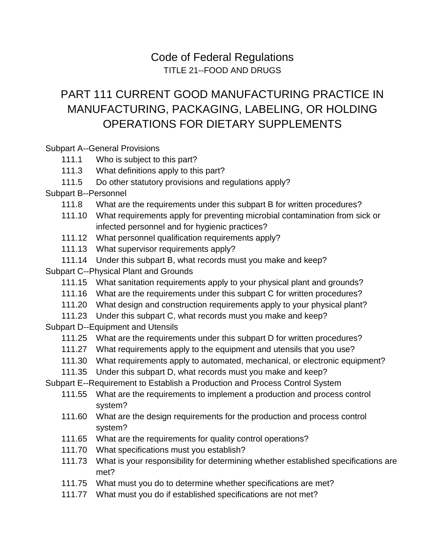# Code of Federal Regulations TITLE 21--FOOD AND DRUGS

# PART 111 CURRENT GOOD MANUFACTURING PRACTICE IN MANUFACTURING, PACKAGING, LABELING, OR HOLDING OPERATIONS FOR DIETARY SUPPLEMENTS

Subpart A--General Provisions

- 111.1 Who is subject to this part?
- 111.3 What definitions apply to this part?
- 111.5 Do other statutory provisions and regulations apply?
- Subpart B--Personnel
	- 111.8 What are the requirements under this subpart B for written procedures?
	- 111.10 What requirements apply for preventing microbial contamination from sick or infected personnel and for hygienic practices?
	- 111.12 What personnel qualification requirements apply?
	- 111.13 What supervisor requirements apply?
	- 111.14 Under this subpart B, what records must you make and keep?
- Subpart C--Physical Plant and Grounds
	- 111.15 What sanitation requirements apply to your physical plant and grounds?
	- 111.16 What are the requirements under this subpart C for written procedures?
	- 111.20 What design and construction requirements apply to your physical plant?
	- 111.23 Under this subpart C, what records must you make and keep?
- Subpart D--Equipment and Utensils
	- 111.25 What are the requirements under this subpart D for written procedures?
	- 111.27 What requirements apply to the equipment and utensils that you use?
	- 111.30 What requirements apply to automated, mechanical, or electronic equipment?
	- 111.35 Under this subpart D, what records must you make and keep?

Subpart E--Requirement to Establish a Production and Process Control System

- 111.55 What are the requirements to implement a production and process control system?
- 111.60 What are the design requirements for the production and process control system?
- 111.65 What are the requirements for quality control operations?
- 111.70 What specifications must you establish?
- 111.73 What is your responsibility for determining whether established specifications are met?
- 111.75 What must you do to determine whether specifications are met?
- 111.77 What must you do if established specifications are not met?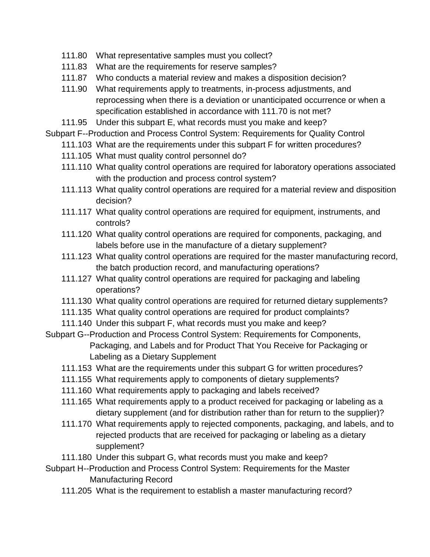- 111.80 What representative samples must you collect?
- 111.83 What are the requirements for reserve samples?
- 111.87 Who conducts a material review and makes a disposition decision?
- 111.90 What requirements apply to treatments, in-process adjustments, and reprocessing when there is a deviation or unanticipated occurrence or when a specification established in accordance with 111.70 is not met?
- 111.95 Under this subpart E, what records must you make and keep?

Subpart F--Production and Process Control System: Requirements for Quality Control

- 111.103 What are the requirements under this subpart F for written procedures?
- 111.105 What must quality control personnel do?
- 111.110 What quality control operations are required for laboratory operations associated with the production and process control system?
- 111.113 What quality control operations are required for a material review and disposition decision?
- 111.117 What quality control operations are required for equipment, instruments, and controls?
- 111.120 What quality control operations are required for components, packaging, and labels before use in the manufacture of a dietary supplement?
- 111.123 What quality control operations are required for the master manufacturing record, the batch production record, and manufacturing operations?
- 111.127 What quality control operations are required for packaging and labeling operations?
- 111.130 What quality control operations are required for returned dietary supplements?
- 111.135 What quality control operations are required for product complaints?
- 111.140 Under this subpart F, what records must you make and keep?
- Subpart G--Production and Process Control System: Requirements for Components, Packaging, and Labels and for Product That You Receive for Packaging or Labeling as a Dietary Supplement
	- 111.153 What are the requirements under this subpart G for written procedures?
	- 111.155 What requirements apply to components of dietary supplements?
	- 111.160 What requirements apply to packaging and labels received?
	- 111.165 What requirements apply to a product received for packaging or labeling as a dietary supplement (and for distribution rather than for return to the supplier)?
	- 111.170 What requirements apply to rejected components, packaging, and labels, and to rejected products that are received for packaging or labeling as a dietary supplement?
	- 111.180 Under this subpart G, what records must you make and keep?
- Subpart H--Production and Process Control System: Requirements for the Master Manufacturing Record
	- 111.205 What is the requirement to establish a master manufacturing record?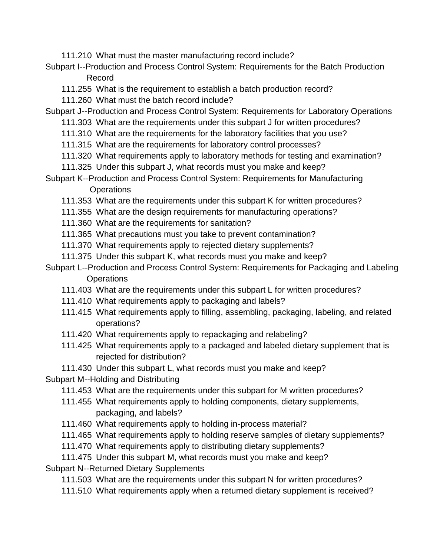111.210 What must the master manufacturing record include?

- Subpart I--Production and Process Control System: Requirements for the Batch Production Record
	- 111.255 What is the requirement to establish a batch production record?
	- 111.260 What must the batch record include?
- Subpart J--Production and Process Control System: Requirements for Laboratory Operations
	- 111.303 What are the requirements under this subpart J for written procedures?
	- 111.310 What are the requirements for the laboratory facilities that you use?
	- 111.315 What are the requirements for laboratory control processes?
	- 111.320 What requirements apply to laboratory methods for testing and examination?
	- 111.325 Under this subpart J, what records must you make and keep?
- Subpart K--Production and Process Control System: Requirements for Manufacturing **Operations** 
	- 111.353 What are the requirements under this subpart K for written procedures?
	- 111.355 What are the design requirements for manufacturing operations?
	- 111.360 What are the requirements for sanitation?
	- 111.365 What precautions must you take to prevent contamination?
	- 111.370 What requirements apply to rejected dietary supplements?
	- 111.375 Under this subpart K, what records must you make and keep?
- Subpart L--Production and Process Control System: Requirements for Packaging and Labeling **Operations** 
	- 111.403 What are the requirements under this subpart L for written procedures?
	- 111.410 What requirements apply to packaging and labels?
	- 111.415 What requirements apply to filling, assembling, packaging, labeling, and related operations?
	- 111.420 What requirements apply to repackaging and relabeling?
	- 111.425 What requirements apply to a packaged and labeled dietary supplement that is rejected for distribution?
	- 111.430 Under this subpart L, what records must you make and keep?
- Subpart M--Holding and Distributing
	- 111.453 What are the requirements under this subpart for M written procedures?
	- 111.455 What requirements apply to holding components, dietary supplements, packaging, and labels?
	- 111.460 What requirements apply to holding in-process material?
	- 111.465 What requirements apply to holding reserve samples of dietary supplements?
	- 111.470 What requirements apply to distributing dietary supplements?
	- 111.475 Under this subpart M, what records must you make and keep?

Subpart N--Returned Dietary Supplements

- 111.503 What are the requirements under this subpart N for written procedures?
- 111.510 What requirements apply when a returned dietary supplement is received?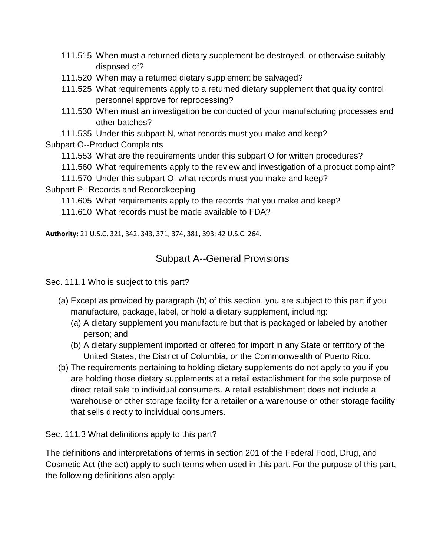- 111.515 When must a returned dietary supplement be destroyed, or otherwise suitably disposed of?
- 111.520 When may a returned dietary supplement be salvaged?
- 111.525 What requirements apply to a returned dietary supplement that quality control personnel approve for reprocessing?
- 111.530 When must an investigation be conducted of your manufacturing processes and other batches?

111.535 Under this subpart N, what records must you make and keep? Subpart O--Product Complaints

111.553 What are the requirements under this subpart O for written procedures?

- 111.560 What requirements apply to the review and investigation of a product complaint?
- 111.570 Under this subpart O, what records must you make and keep?

Subpart P--Records and Recordkeeping

111.605 What requirements apply to the records that you make and keep?

111.610 What records must be made available to FDA?

**Authority:** 21 U.S.C. 321, 342, 343, 371, 374, 381, 393; 42 U.S.C. 264.

## Subpart A--General Provisions

Sec. 111.1 Who is subject to this part?

- (a) Except as provided by paragraph (b) of this section, you are subject to this part if you manufacture, package, label, or hold a dietary supplement, including:
	- (a) A dietary supplement you manufacture but that is packaged or labeled by another person; and
	- (b) A dietary supplement imported or offered for import in any State or territory of the United States, the District of Columbia, or the Commonwealth of Puerto Rico.
- (b) The requirements pertaining to holding dietary supplements do not apply to you if you are holding those dietary supplements at a retail establishment for the sole purpose of direct retail sale to individual consumers. A retail establishment does not include a warehouse or other storage facility for a retailer or a warehouse or other storage facility that sells directly to individual consumers.

Sec. 111.3 What definitions apply to this part?

The definitions and interpretations of terms in section 201 of the Federal Food, Drug, and Cosmetic Act (the act) apply to such terms when used in this part. For the purpose of this part, the following definitions also apply: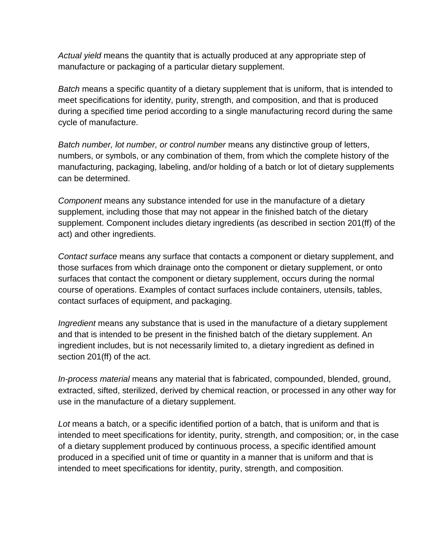*Actual yield* means the quantity that is actually produced at any appropriate step of manufacture or packaging of a particular dietary supplement.

*Batch* means a specific quantity of a dietary supplement that is uniform, that is intended to meet specifications for identity, purity, strength, and composition, and that is produced during a specified time period according to a single manufacturing record during the same cycle of manufacture.

*Batch number, lot number, or control number* means any distinctive group of letters, numbers, or symbols, or any combination of them, from which the complete history of the manufacturing, packaging, labeling, and/or holding of a batch or lot of dietary supplements can be determined.

*Component* means any substance intended for use in the manufacture of a dietary supplement, including those that may not appear in the finished batch of the dietary supplement. Component includes dietary ingredients (as described in section 201(ff) of the act) and other ingredients.

*Contact surface* means any surface that contacts a component or dietary supplement, and those surfaces from which drainage onto the component or dietary supplement, or onto surfaces that contact the component or dietary supplement, occurs during the normal course of operations. Examples of contact surfaces include containers, utensils, tables, contact surfaces of equipment, and packaging.

*Ingredient* means any substance that is used in the manufacture of a dietary supplement and that is intended to be present in the finished batch of the dietary supplement. An ingredient includes, but is not necessarily limited to, a dietary ingredient as defined in section 201(ff) of the act.

*In-process material* means any material that is fabricated, compounded, blended, ground, extracted, sifted, sterilized, derived by chemical reaction, or processed in any other way for use in the manufacture of a dietary supplement.

*Lot* means a batch, or a specific identified portion of a batch, that is uniform and that is intended to meet specifications for identity, purity, strength, and composition; or, in the case of a dietary supplement produced by continuous process, a specific identified amount produced in a specified unit of time or quantity in a manner that is uniform and that is intended to meet specifications for identity, purity, strength, and composition.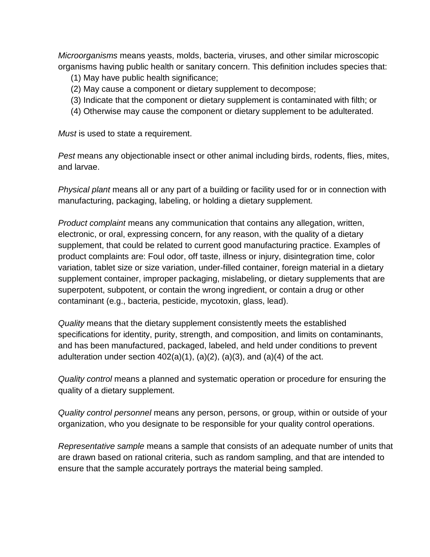*Microorganisms* means yeasts, molds, bacteria, viruses, and other similar microscopic organisms having public health or sanitary concern. This definition includes species that:

- (1) May have public health significance;
- (2) May cause a component or dietary supplement to decompose;
- (3) Indicate that the component or dietary supplement is contaminated with filth; or
- (4) Otherwise may cause the component or dietary supplement to be adulterated.

*Must* is used to state a requirement.

*Pest* means any objectionable insect or other animal including birds, rodents, flies, mites, and larvae.

*Physical plant* means all or any part of a building or facility used for or in connection with manufacturing, packaging, labeling, or holding a dietary supplement.

*Product complaint* means any communication that contains any allegation, written, electronic, or oral, expressing concern, for any reason, with the quality of a dietary supplement, that could be related to current good manufacturing practice. Examples of product complaints are: Foul odor, off taste, illness or injury, disintegration time, color variation, tablet size or size variation, under-filled container, foreign material in a dietary supplement container, improper packaging, mislabeling, or dietary supplements that are superpotent, subpotent, or contain the wrong ingredient, or contain a drug or other contaminant (e.g., bacteria, pesticide, mycotoxin, glass, lead).

*Quality* means that the dietary supplement consistently meets the established specifications for identity, purity, strength, and composition, and limits on contaminants, and has been manufactured, packaged, labeled, and held under conditions to prevent adulteration under section  $402(a)(1)$ ,  $(a)(2)$ ,  $(a)(3)$ , and  $(a)(4)$  of the act.

*Quality control* means a planned and systematic operation or procedure for ensuring the quality of a dietary supplement.

*Quality control personnel* means any person, persons, or group, within or outside of your organization, who you designate to be responsible for your quality control operations.

*Representative sample* means a sample that consists of an adequate number of units that are drawn based on rational criteria, such as random sampling, and that are intended to ensure that the sample accurately portrays the material being sampled.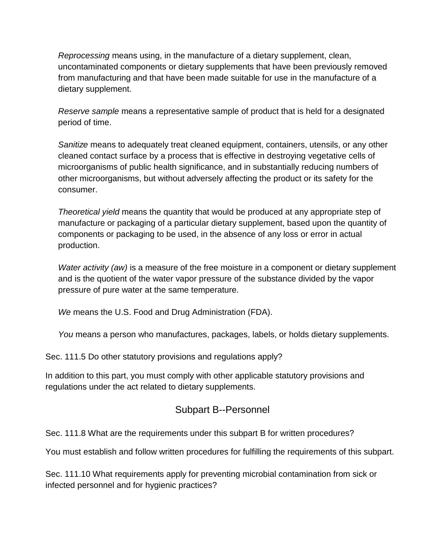*Reprocessing* means using, in the manufacture of a dietary supplement, clean, uncontaminated components or dietary supplements that have been previously removed from manufacturing and that have been made suitable for use in the manufacture of a dietary supplement.

*Reserve sample* means a representative sample of product that is held for a designated period of time.

*Sanitize* means to adequately treat cleaned equipment, containers, utensils, or any other cleaned contact surface by a process that is effective in destroying vegetative cells of microorganisms of public health significance, and in substantially reducing numbers of other microorganisms, but without adversely affecting the product or its safety for the consumer.

*Theoretical yield* means the quantity that would be produced at any appropriate step of manufacture or packaging of a particular dietary supplement, based upon the quantity of components or packaging to be used, in the absence of any loss or error in actual production.

*Water activity (aw)* is a measure of the free moisture in a component or dietary supplement and is the quotient of the water vapor pressure of the substance divided by the vapor pressure of pure water at the same temperature.

*We* means the U.S. Food and Drug Administration (FDA).

*You* means a person who manufactures, packages, labels, or holds dietary supplements.

Sec. 111.5 Do other statutory provisions and regulations apply?

In addition to this part, you must comply with other applicable statutory provisions and regulations under the act related to dietary supplements.

#### Subpart B--Personnel

Sec. 111.8 What are the requirements under this subpart B for written procedures?

You must establish and follow written procedures for fulfilling the requirements of this subpart.

Sec. 111.10 What requirements apply for preventing microbial contamination from sick or infected personnel and for hygienic practices?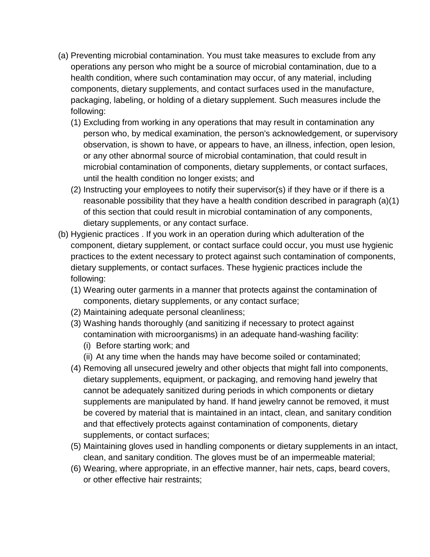- (a) Preventing microbial contamination. You must take measures to exclude from any operations any person who might be a source of microbial contamination, due to a health condition, where such contamination may occur, of any material, including components, dietary supplements, and contact surfaces used in the manufacture, packaging, labeling, or holding of a dietary supplement. Such measures include the following:
	- (1) Excluding from working in any operations that may result in contamination any person who, by medical examination, the person's acknowledgement, or supervisory observation, is shown to have, or appears to have, an illness, infection, open lesion, or any other abnormal source of microbial contamination, that could result in microbial contamination of components, dietary supplements, or contact surfaces, until the health condition no longer exists; and
	- (2) Instructing your employees to notify their supervisor(s) if they have or if there is a reasonable possibility that they have a health condition described in paragraph (a)(1) of this section that could result in microbial contamination of any components, dietary supplements, or any contact surface.
- (b) Hygienic practices . If you work in an operation during which adulteration of the component, dietary supplement, or contact surface could occur, you must use hygienic practices to the extent necessary to protect against such contamination of components, dietary supplements, or contact surfaces. These hygienic practices include the following:
	- (1) Wearing outer garments in a manner that protects against the contamination of components, dietary supplements, or any contact surface;
	- (2) Maintaining adequate personal cleanliness;
	- (3) Washing hands thoroughly (and sanitizing if necessary to protect against contamination with microorganisms) in an adequate hand-washing facility: (i) Before starting work; and
		- (ii) At any time when the hands may have become soiled or contaminated;
	- (4) Removing all unsecured jewelry and other objects that might fall into components, dietary supplements, equipment, or packaging, and removing hand jewelry that cannot be adequately sanitized during periods in which components or dietary supplements are manipulated by hand. If hand jewelry cannot be removed, it must be covered by material that is maintained in an intact, clean, and sanitary condition and that effectively protects against contamination of components, dietary supplements, or contact surfaces;
	- (5) Maintaining gloves used in handling components or dietary supplements in an intact, clean, and sanitary condition. The gloves must be of an impermeable material;
	- (6) Wearing, where appropriate, in an effective manner, hair nets, caps, beard covers, or other effective hair restraints;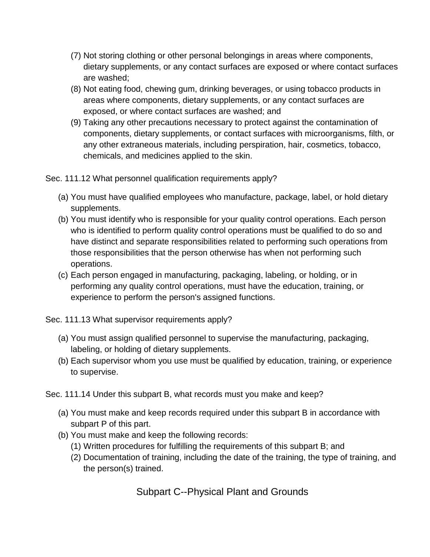- (7) Not storing clothing or other personal belongings in areas where components, dietary supplements, or any contact surfaces are exposed or where contact surfaces are washed;
- (8) Not eating food, chewing gum, drinking beverages, or using tobacco products in areas where components, dietary supplements, or any contact surfaces are exposed, or where contact surfaces are washed; and
- (9) Taking any other precautions necessary to protect against the contamination of components, dietary supplements, or contact surfaces with microorganisms, filth, or any other extraneous materials, including perspiration, hair, cosmetics, tobacco, chemicals, and medicines applied to the skin.

Sec. 111.12 What personnel qualification requirements apply?

- (a) You must have qualified employees who manufacture, package, label, or hold dietary supplements.
- (b) You must identify who is responsible for your quality control operations. Each person who is identified to perform quality control operations must be qualified to do so and have distinct and separate responsibilities related to performing such operations from those responsibilities that the person otherwise has when not performing such operations.
- (c) Each person engaged in manufacturing, packaging, labeling, or holding, or in performing any quality control operations, must have the education, training, or experience to perform the person's assigned functions.

Sec. 111.13 What supervisor requirements apply?

- (a) You must assign qualified personnel to supervise the manufacturing, packaging, labeling, or holding of dietary supplements.
- (b) Each supervisor whom you use must be qualified by education, training, or experience to supervise.

Sec. 111.14 Under this subpart B, what records must you make and keep?

- (a) You must make and keep records required under this subpart B in accordance with subpart P of this part.
- (b) You must make and keep the following records:
	- (1) Written procedures for fulfilling the requirements of this subpart B; and
	- (2) Documentation of training, including the date of the training, the type of training, and the person(s) trained.

Subpart C--Physical Plant and Grounds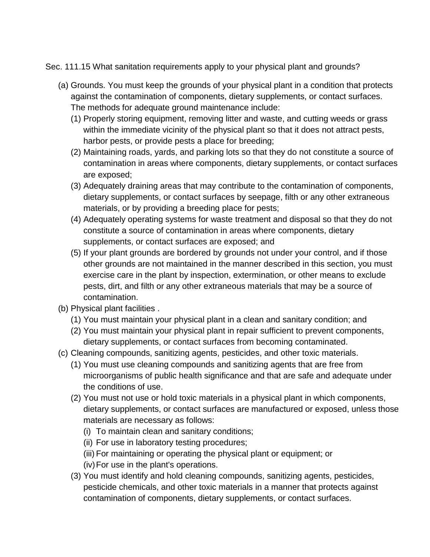Sec. 111.15 What sanitation requirements apply to your physical plant and grounds?

- (a) Grounds. You must keep the grounds of your physical plant in a condition that protects against the contamination of components, dietary supplements, or contact surfaces. The methods for adequate ground maintenance include:
	- (1) Properly storing equipment, removing litter and waste, and cutting weeds or grass within the immediate vicinity of the physical plant so that it does not attract pests, harbor pests, or provide pests a place for breeding;
	- (2) Maintaining roads, yards, and parking lots so that they do not constitute a source of contamination in areas where components, dietary supplements, or contact surfaces are exposed;
	- (3) Adequately draining areas that may contribute to the contamination of components, dietary supplements, or contact surfaces by seepage, filth or any other extraneous materials, or by providing a breeding place for pests;
	- (4) Adequately operating systems for waste treatment and disposal so that they do not constitute a source of contamination in areas where components, dietary supplements, or contact surfaces are exposed; and
	- (5) If your plant grounds are bordered by grounds not under your control, and if those other grounds are not maintained in the manner described in this section, you must exercise care in the plant by inspection, extermination, or other means to exclude pests, dirt, and filth or any other extraneous materials that may be a source of contamination.
- (b) Physical plant facilities .
	- (1) You must maintain your physical plant in a clean and sanitary condition; and
	- (2) You must maintain your physical plant in repair sufficient to prevent components, dietary supplements, or contact surfaces from becoming contaminated.
- (c) Cleaning compounds, sanitizing agents, pesticides, and other toxic materials.
	- (1) You must use cleaning compounds and sanitizing agents that are free from microorganisms of public health significance and that are safe and adequate under the conditions of use.
	- (2) You must not use or hold toxic materials in a physical plant in which components, dietary supplements, or contact surfaces are manufactured or exposed, unless those materials are necessary as follows:
		- (i) To maintain clean and sanitary conditions;
		- (ii) For use in laboratory testing procedures;
		- (iii) For maintaining or operating the physical plant or equipment; or
		- (iv)For use in the plant's operations.
	- (3) You must identify and hold cleaning compounds, sanitizing agents, pesticides, pesticide chemicals, and other toxic materials in a manner that protects against contamination of components, dietary supplements, or contact surfaces.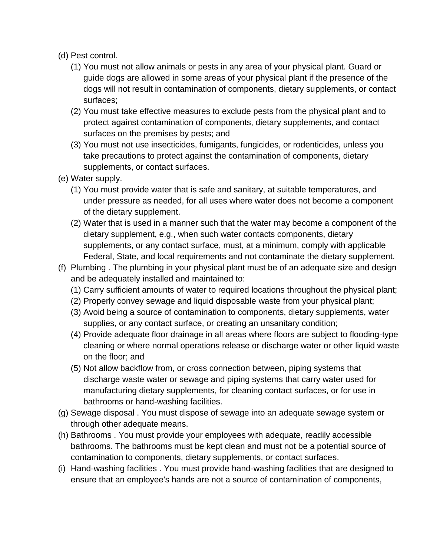- (d) Pest control.
	- (1) You must not allow animals or pests in any area of your physical plant. Guard or guide dogs are allowed in some areas of your physical plant if the presence of the dogs will not result in contamination of components, dietary supplements, or contact surfaces;
	- (2) You must take effective measures to exclude pests from the physical plant and to protect against contamination of components, dietary supplements, and contact surfaces on the premises by pests; and
	- (3) You must not use insecticides, fumigants, fungicides, or rodenticides, unless you take precautions to protect against the contamination of components, dietary supplements, or contact surfaces.
- (e) Water supply.
	- (1) You must provide water that is safe and sanitary, at suitable temperatures, and under pressure as needed, for all uses where water does not become a component of the dietary supplement.
	- (2) Water that is used in a manner such that the water may become a component of the dietary supplement, e.g., when such water contacts components, dietary supplements, or any contact surface, must, at a minimum, comply with applicable Federal, State, and local requirements and not contaminate the dietary supplement.
- (f) Plumbing . The plumbing in your physical plant must be of an adequate size and design and be adequately installed and maintained to:
	- (1) Carry sufficient amounts of water to required locations throughout the physical plant;
	- (2) Properly convey sewage and liquid disposable waste from your physical plant;
	- (3) Avoid being a source of contamination to components, dietary supplements, water supplies, or any contact surface, or creating an unsanitary condition;
	- (4) Provide adequate floor drainage in all areas where floors are subject to flooding-type cleaning or where normal operations release or discharge water or other liquid waste on the floor; and
	- (5) Not allow backflow from, or cross connection between, piping systems that discharge waste water or sewage and piping systems that carry water used for manufacturing dietary supplements, for cleaning contact surfaces, or for use in bathrooms or hand-washing facilities.
- (g) Sewage disposal . You must dispose of sewage into an adequate sewage system or through other adequate means.
- (h) Bathrooms . You must provide your employees with adequate, readily accessible bathrooms. The bathrooms must be kept clean and must not be a potential source of contamination to components, dietary supplements, or contact surfaces.
- (i) Hand-washing facilities . You must provide hand-washing facilities that are designed to ensure that an employee's hands are not a source of contamination of components,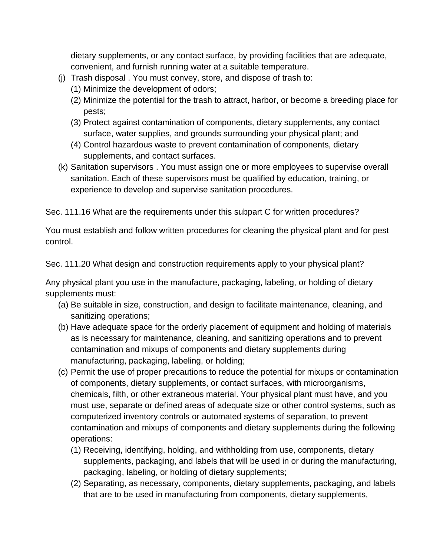dietary supplements, or any contact surface, by providing facilities that are adequate, convenient, and furnish running water at a suitable temperature.

- (j) Trash disposal . You must convey, store, and dispose of trash to:
	- (1) Minimize the development of odors;
	- (2) Minimize the potential for the trash to attract, harbor, or become a breeding place for pests;
	- (3) Protect against contamination of components, dietary supplements, any contact surface, water supplies, and grounds surrounding your physical plant; and
	- (4) Control hazardous waste to prevent contamination of components, dietary supplements, and contact surfaces.
- (k) Sanitation supervisors . You must assign one or more employees to supervise overall sanitation. Each of these supervisors must be qualified by education, training, or experience to develop and supervise sanitation procedures.

Sec. 111.16 What are the requirements under this subpart C for written procedures?

You must establish and follow written procedures for cleaning the physical plant and for pest control.

Sec. 111.20 What design and construction requirements apply to your physical plant?

Any physical plant you use in the manufacture, packaging, labeling, or holding of dietary supplements must:

- (a) Be suitable in size, construction, and design to facilitate maintenance, cleaning, and sanitizing operations;
- (b) Have adequate space for the orderly placement of equipment and holding of materials as is necessary for maintenance, cleaning, and sanitizing operations and to prevent contamination and mixups of components and dietary supplements during manufacturing, packaging, labeling, or holding;
- (c) Permit the use of proper precautions to reduce the potential for mixups or contamination of components, dietary supplements, or contact surfaces, with microorganisms, chemicals, filth, or other extraneous material. Your physical plant must have, and you must use, separate or defined areas of adequate size or other control systems, such as computerized inventory controls or automated systems of separation, to prevent contamination and mixups of components and dietary supplements during the following operations:
	- (1) Receiving, identifying, holding, and withholding from use, components, dietary supplements, packaging, and labels that will be used in or during the manufacturing, packaging, labeling, or holding of dietary supplements;
	- (2) Separating, as necessary, components, dietary supplements, packaging, and labels that are to be used in manufacturing from components, dietary supplements,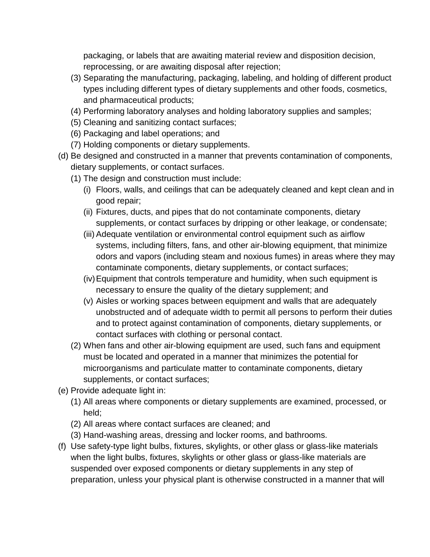packaging, or labels that are awaiting material review and disposition decision, reprocessing, or are awaiting disposal after rejection;

- (3) Separating the manufacturing, packaging, labeling, and holding of different product types including different types of dietary supplements and other foods, cosmetics, and pharmaceutical products;
- (4) Performing laboratory analyses and holding laboratory supplies and samples;
- (5) Cleaning and sanitizing contact surfaces;
- (6) Packaging and label operations; and
- (7) Holding components or dietary supplements.
- (d) Be designed and constructed in a manner that prevents contamination of components, dietary supplements, or contact surfaces.
	- (1) The design and construction must include:
		- (i) Floors, walls, and ceilings that can be adequately cleaned and kept clean and in good repair;
		- (ii) Fixtures, ducts, and pipes that do not contaminate components, dietary supplements, or contact surfaces by dripping or other leakage, or condensate;
		- (iii) Adequate ventilation or environmental control equipment such as airflow systems, including filters, fans, and other air-blowing equipment, that minimize odors and vapors (including steam and noxious fumes) in areas where they may contaminate components, dietary supplements, or contact surfaces;
		- (iv)Equipment that controls temperature and humidity, when such equipment is necessary to ensure the quality of the dietary supplement; and
		- (v) Aisles or working spaces between equipment and walls that are adequately unobstructed and of adequate width to permit all persons to perform their duties and to protect against contamination of components, dietary supplements, or contact surfaces with clothing or personal contact.
	- (2) When fans and other air-blowing equipment are used, such fans and equipment must be located and operated in a manner that minimizes the potential for microorganisms and particulate matter to contaminate components, dietary supplements, or contact surfaces;
- (e) Provide adequate light in:
	- (1) All areas where components or dietary supplements are examined, processed, or held;
	- (2) All areas where contact surfaces are cleaned; and
	- (3) Hand-washing areas, dressing and locker rooms, and bathrooms.
- (f) Use safety-type light bulbs, fixtures, skylights, or other glass or glass-like materials when the light bulbs, fixtures, skylights or other glass or glass-like materials are suspended over exposed components or dietary supplements in any step of preparation, unless your physical plant is otherwise constructed in a manner that will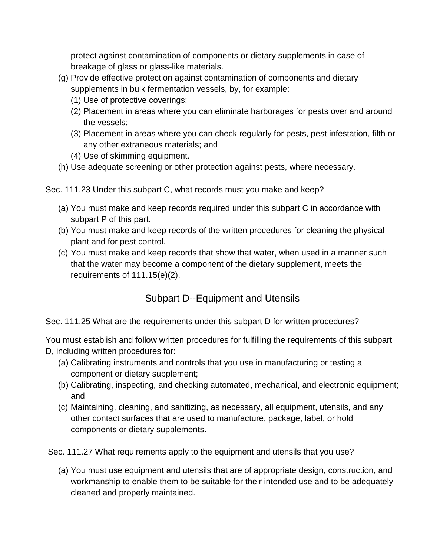protect against contamination of components or dietary supplements in case of breakage of glass or glass-like materials.

- (g) Provide effective protection against contamination of components and dietary supplements in bulk fermentation vessels, by, for example:
	- (1) Use of protective coverings;
	- (2) Placement in areas where you can eliminate harborages for pests over and around the vessels;
	- (3) Placement in areas where you can check regularly for pests, pest infestation, filth or any other extraneous materials; and
	- (4) Use of skimming equipment.
- (h) Use adequate screening or other protection against pests, where necessary.

Sec. 111.23 Under this subpart C, what records must you make and keep?

- (a) You must make and keep records required under this subpart C in accordance with subpart P of this part.
- (b) You must make and keep records of the written procedures for cleaning the physical plant and for pest control.
- (c) You must make and keep records that show that water, when used in a manner such that the water may become a component of the dietary supplement, meets the requirements of 111.15(e)(2).

# Subpart D--Equipment and Utensils

Sec. 111.25 What are the requirements under this subpart D for written procedures?

You must establish and follow written procedures for fulfilling the requirements of this subpart D, including written procedures for:

- (a) Calibrating instruments and controls that you use in manufacturing or testing a component or dietary supplement;
- (b) Calibrating, inspecting, and checking automated, mechanical, and electronic equipment; and
- (c) Maintaining, cleaning, and sanitizing, as necessary, all equipment, utensils, and any other contact surfaces that are used to manufacture, package, label, or hold components or dietary supplements.

Sec. 111.27 What requirements apply to the equipment and utensils that you use?

(a) You must use equipment and utensils that are of appropriate design, construction, and workmanship to enable them to be suitable for their intended use and to be adequately cleaned and properly maintained.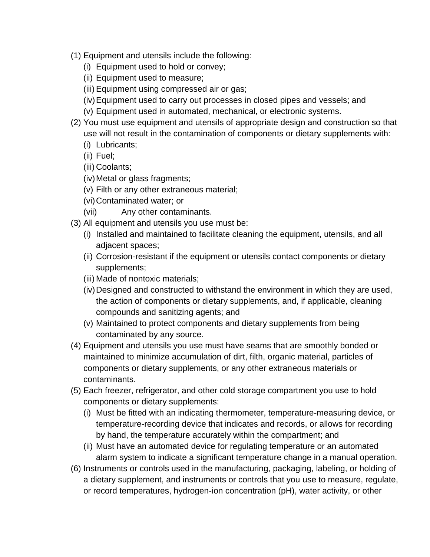- (1) Equipment and utensils include the following:
	- (i) Equipment used to hold or convey;
	- (ii) Equipment used to measure;
	- (iii) Equipment using compressed air or gas;
	- (iv)Equipment used to carry out processes in closed pipes and vessels; and
	- (v) Equipment used in automated, mechanical, or electronic systems.
- (2) You must use equipment and utensils of appropriate design and construction so that use will not result in the contamination of components or dietary supplements with:
	- (i) Lubricants;
	- (ii) Fuel;
	- (iii) Coolants;
	- (iv)Metal or glass fragments;
	- (v) Filth or any other extraneous material;
	- (vi)Contaminated water; or
	- (vii) Any other contaminants.
- (3) All equipment and utensils you use must be:
	- (i) Installed and maintained to facilitate cleaning the equipment, utensils, and all adjacent spaces;
	- (ii) Corrosion-resistant if the equipment or utensils contact components or dietary supplements;
	- (iii) Made of nontoxic materials;
	- (iv)Designed and constructed to withstand the environment in which they are used, the action of components or dietary supplements, and, if applicable, cleaning compounds and sanitizing agents; and
	- (v) Maintained to protect components and dietary supplements from being contaminated by any source.
- (4) Equipment and utensils you use must have seams that are smoothly bonded or maintained to minimize accumulation of dirt, filth, organic material, particles of components or dietary supplements, or any other extraneous materials or contaminants.
- (5) Each freezer, refrigerator, and other cold storage compartment you use to hold components or dietary supplements:
	- (i) Must be fitted with an indicating thermometer, temperature-measuring device, or temperature-recording device that indicates and records, or allows for recording by hand, the temperature accurately within the compartment; and
	- (ii) Must have an automated device for regulating temperature or an automated alarm system to indicate a significant temperature change in a manual operation.
- (6) Instruments or controls used in the manufacturing, packaging, labeling, or holding of a dietary supplement, and instruments or controls that you use to measure, regulate, or record temperatures, hydrogen-ion concentration (pH), water activity, or other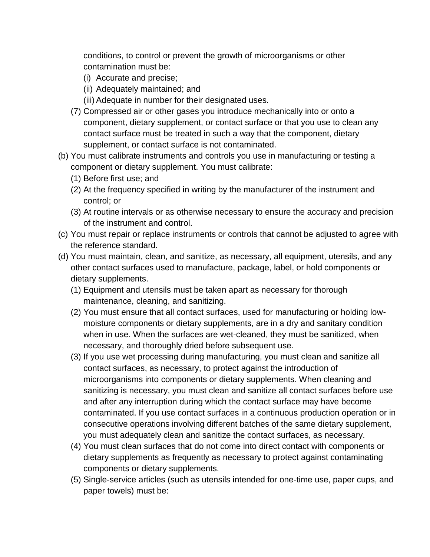conditions, to control or prevent the growth of microorganisms or other contamination must be:

- (i) Accurate and precise;
- (ii) Adequately maintained; and
- (iii) Adequate in number for their designated uses.
- (7) Compressed air or other gases you introduce mechanically into or onto a component, dietary supplement, or contact surface or that you use to clean any contact surface must be treated in such a way that the component, dietary supplement, or contact surface is not contaminated.
- (b) You must calibrate instruments and controls you use in manufacturing or testing a component or dietary supplement. You must calibrate:
	- (1) Before first use; and
	- (2) At the frequency specified in writing by the manufacturer of the instrument and control; or
	- (3) At routine intervals or as otherwise necessary to ensure the accuracy and precision of the instrument and control.
- (c) You must repair or replace instruments or controls that cannot be adjusted to agree with the reference standard.
- (d) You must maintain, clean, and sanitize, as necessary, all equipment, utensils, and any other contact surfaces used to manufacture, package, label, or hold components or dietary supplements.
	- (1) Equipment and utensils must be taken apart as necessary for thorough maintenance, cleaning, and sanitizing.
	- (2) You must ensure that all contact surfaces, used for manufacturing or holding lowmoisture components or dietary supplements, are in a dry and sanitary condition when in use. When the surfaces are wet-cleaned, they must be sanitized, when necessary, and thoroughly dried before subsequent use.
	- (3) If you use wet processing during manufacturing, you must clean and sanitize all contact surfaces, as necessary, to protect against the introduction of microorganisms into components or dietary supplements. When cleaning and sanitizing is necessary, you must clean and sanitize all contact surfaces before use and after any interruption during which the contact surface may have become contaminated. If you use contact surfaces in a continuous production operation or in consecutive operations involving different batches of the same dietary supplement, you must adequately clean and sanitize the contact surfaces, as necessary.
	- (4) You must clean surfaces that do not come into direct contact with components or dietary supplements as frequently as necessary to protect against contaminating components or dietary supplements.
	- (5) Single-service articles (such as utensils intended for one-time use, paper cups, and paper towels) must be: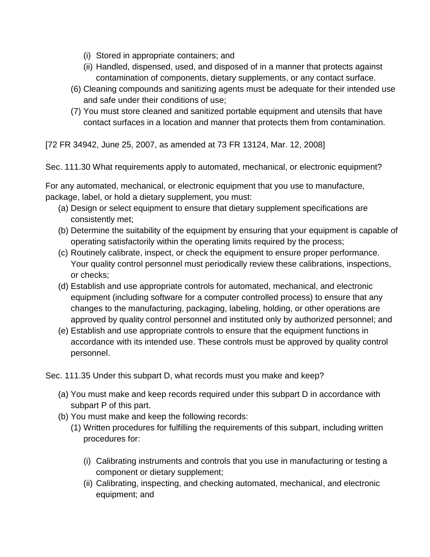- (i) Stored in appropriate containers; and
- (ii) Handled, dispensed, used, and disposed of in a manner that protects against contamination of components, dietary supplements, or any contact surface.
- (6) Cleaning compounds and sanitizing agents must be adequate for their intended use and safe under their conditions of use;
- (7) You must store cleaned and sanitized portable equipment and utensils that have contact surfaces in a location and manner that protects them from contamination.

[72 FR 34942, June 25, 2007, as amended at 73 FR 13124, Mar. 12, 2008]

Sec. 111.30 What requirements apply to automated, mechanical, or electronic equipment?

For any automated, mechanical, or electronic equipment that you use to manufacture, package, label, or hold a dietary supplement, you must:

- (a) Design or select equipment to ensure that dietary supplement specifications are consistently met;
- (b) Determine the suitability of the equipment by ensuring that your equipment is capable of operating satisfactorily within the operating limits required by the process;
- (c) Routinely calibrate, inspect, or check the equipment to ensure proper performance. Your quality control personnel must periodically review these calibrations, inspections, or checks;
- (d) Establish and use appropriate controls for automated, mechanical, and electronic equipment (including software for a computer controlled process) to ensure that any changes to the manufacturing, packaging, labeling, holding, or other operations are approved by quality control personnel and instituted only by authorized personnel; and
- (e) Establish and use appropriate controls to ensure that the equipment functions in accordance with its intended use. These controls must be approved by quality control personnel.

Sec. 111.35 Under this subpart D, what records must you make and keep?

- (a) You must make and keep records required under this subpart D in accordance with subpart P of this part.
- (b) You must make and keep the following records:
	- (1) Written procedures for fulfilling the requirements of this subpart, including written procedures for:
		- (i) Calibrating instruments and controls that you use in manufacturing or testing a component or dietary supplement;
		- (ii) Calibrating, inspecting, and checking automated, mechanical, and electronic equipment; and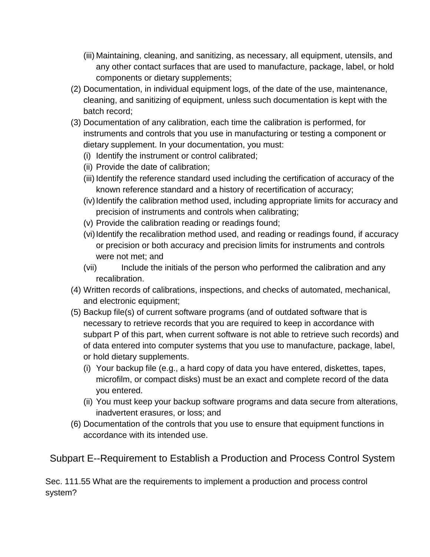- (iii) Maintaining, cleaning, and sanitizing, as necessary, all equipment, utensils, and any other contact surfaces that are used to manufacture, package, label, or hold components or dietary supplements;
- (2) Documentation, in individual equipment logs, of the date of the use, maintenance, cleaning, and sanitizing of equipment, unless such documentation is kept with the batch record;
- (3) Documentation of any calibration, each time the calibration is performed, for instruments and controls that you use in manufacturing or testing a component or dietary supplement. In your documentation, you must:
	- (i) Identify the instrument or control calibrated;
	- (ii) Provide the date of calibration;
	- (iii) Identify the reference standard used including the certification of accuracy of the known reference standard and a history of recertification of accuracy;
	- (iv) Identify the calibration method used, including appropriate limits for accuracy and precision of instruments and controls when calibrating;
	- (v) Provide the calibration reading or readings found;
	- (vi) Identify the recalibration method used, and reading or readings found, if accuracy or precision or both accuracy and precision limits for instruments and controls were not met; and
	- (vii) Include the initials of the person who performed the calibration and any recalibration.
- (4) Written records of calibrations, inspections, and checks of automated, mechanical, and electronic equipment;
- (5) Backup file(s) of current software programs (and of outdated software that is necessary to retrieve records that you are required to keep in accordance with subpart P of this part, when current software is not able to retrieve such records) and of data entered into computer systems that you use to manufacture, package, label, or hold dietary supplements.
	- (i) Your backup file (e.g., a hard copy of data you have entered, diskettes, tapes, microfilm, or compact disks) must be an exact and complete record of the data you entered.
	- (ii) You must keep your backup software programs and data secure from alterations, inadvertent erasures, or loss; and
- (6) Documentation of the controls that you use to ensure that equipment functions in accordance with its intended use.

#### Subpart E--Requirement to Establish a Production and Process Control System

Sec. 111.55 What are the requirements to implement a production and process control system?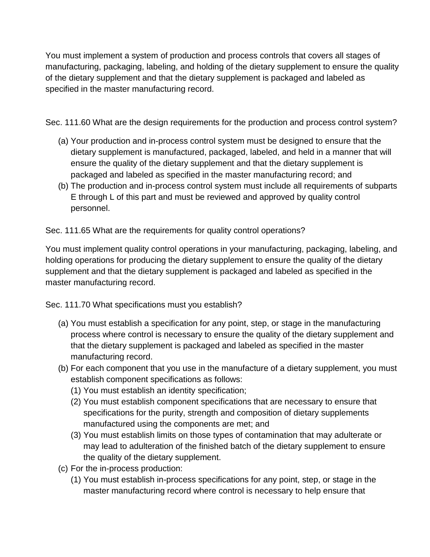You must implement a system of production and process controls that covers all stages of manufacturing, packaging, labeling, and holding of the dietary supplement to ensure the quality of the dietary supplement and that the dietary supplement is packaged and labeled as specified in the master manufacturing record.

Sec. 111.60 What are the design requirements for the production and process control system?

- (a) Your production and in-process control system must be designed to ensure that the dietary supplement is manufactured, packaged, labeled, and held in a manner that will ensure the quality of the dietary supplement and that the dietary supplement is packaged and labeled as specified in the master manufacturing record; and
- (b) The production and in-process control system must include all requirements of subparts E through L of this part and must be reviewed and approved by quality control personnel.

Sec. 111.65 What are the requirements for quality control operations?

You must implement quality control operations in your manufacturing, packaging, labeling, and holding operations for producing the dietary supplement to ensure the quality of the dietary supplement and that the dietary supplement is packaged and labeled as specified in the master manufacturing record.

Sec. 111.70 What specifications must you establish?

- (a) You must establish a specification for any point, step, or stage in the manufacturing process where control is necessary to ensure the quality of the dietary supplement and that the dietary supplement is packaged and labeled as specified in the master manufacturing record.
- (b) For each component that you use in the manufacture of a dietary supplement, you must establish component specifications as follows:
	- (1) You must establish an identity specification;
	- (2) You must establish component specifications that are necessary to ensure that specifications for the purity, strength and composition of dietary supplements manufactured using the components are met; and
	- (3) You must establish limits on those types of contamination that may adulterate or may lead to adulteration of the finished batch of the dietary supplement to ensure the quality of the dietary supplement.
- (c) For the in-process production:
	- (1) You must establish in-process specifications for any point, step, or stage in the master manufacturing record where control is necessary to help ensure that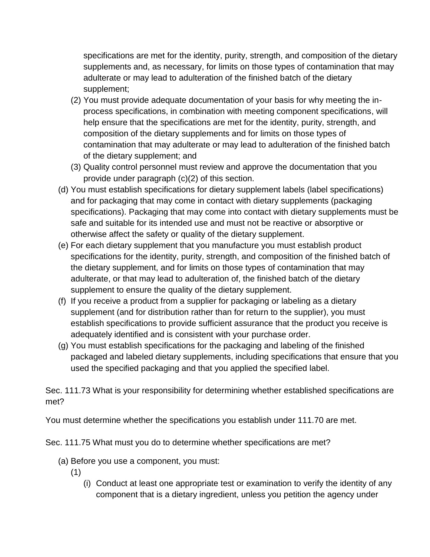specifications are met for the identity, purity, strength, and composition of the dietary supplements and, as necessary, for limits on those types of contamination that may adulterate or may lead to adulteration of the finished batch of the dietary supplement;

- (2) You must provide adequate documentation of your basis for why meeting the inprocess specifications, in combination with meeting component specifications, will help ensure that the specifications are met for the identity, purity, strength, and composition of the dietary supplements and for limits on those types of contamination that may adulterate or may lead to adulteration of the finished batch of the dietary supplement; and
- (3) Quality control personnel must review and approve the documentation that you provide under paragraph (c)(2) of this section.
- (d) You must establish specifications for dietary supplement labels (label specifications) and for packaging that may come in contact with dietary supplements (packaging specifications). Packaging that may come into contact with dietary supplements must be safe and suitable for its intended use and must not be reactive or absorptive or otherwise affect the safety or quality of the dietary supplement.
- (e) For each dietary supplement that you manufacture you must establish product specifications for the identity, purity, strength, and composition of the finished batch of the dietary supplement, and for limits on those types of contamination that may adulterate, or that may lead to adulteration of, the finished batch of the dietary supplement to ensure the quality of the dietary supplement.
- (f) If you receive a product from a supplier for packaging or labeling as a dietary supplement (and for distribution rather than for return to the supplier), you must establish specifications to provide sufficient assurance that the product you receive is adequately identified and is consistent with your purchase order.
- (g) You must establish specifications for the packaging and labeling of the finished packaged and labeled dietary supplements, including specifications that ensure that you used the specified packaging and that you applied the specified label.

Sec. 111.73 What is your responsibility for determining whether established specifications are met?

You must determine whether the specifications you establish under 111.70 are met.

Sec. 111.75 What must you do to determine whether specifications are met?

- (a) Before you use a component, you must:
	- (1)
		- (i) Conduct at least one appropriate test or examination to verify the identity of any component that is a dietary ingredient, unless you petition the agency under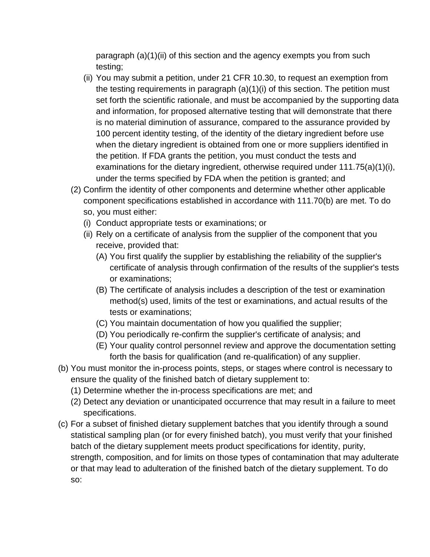paragraph (a)(1)(ii) of this section and the agency exempts you from such testing;

- (ii) You may submit a petition, under 21 CFR 10.30, to request an exemption from the testing requirements in paragraph (a)(1)(i) of this section. The petition must set forth the scientific rationale, and must be accompanied by the supporting data and information, for proposed alternative testing that will demonstrate that there is no material diminution of assurance, compared to the assurance provided by 100 percent identity testing, of the identity of the dietary ingredient before use when the dietary ingredient is obtained from one or more suppliers identified in the petition. If FDA grants the petition, you must conduct the tests and examinations for the dietary ingredient, otherwise required under 111.75(a)(1)(i), under the terms specified by FDA when the petition is granted; and
- (2) Confirm the identity of other components and determine whether other applicable component specifications established in accordance with 111.70(b) are met. To do so, you must either:
	- (i) Conduct appropriate tests or examinations; or
	- (ii) Rely on a certificate of analysis from the supplier of the component that you receive, provided that:
		- (A) You first qualify the supplier by establishing the reliability of the supplier's certificate of analysis through confirmation of the results of the supplier's tests or examinations;
		- (B) The certificate of analysis includes a description of the test or examination method(s) used, limits of the test or examinations, and actual results of the tests or examinations;
		- (C) You maintain documentation of how you qualified the supplier;
		- (D) You periodically re-confirm the supplier's certificate of analysis; and
		- (E) Your quality control personnel review and approve the documentation setting forth the basis for qualification (and re-qualification) of any supplier.
- (b) You must monitor the in-process points, steps, or stages where control is necessary to ensure the quality of the finished batch of dietary supplement to:
	- (1) Determine whether the in-process specifications are met; and
	- (2) Detect any deviation or unanticipated occurrence that may result in a failure to meet specifications.
- (c) For a subset of finished dietary supplement batches that you identify through a sound statistical sampling plan (or for every finished batch), you must verify that your finished batch of the dietary supplement meets product specifications for identity, purity, strength, composition, and for limits on those types of contamination that may adulterate or that may lead to adulteration of the finished batch of the dietary supplement. To do so: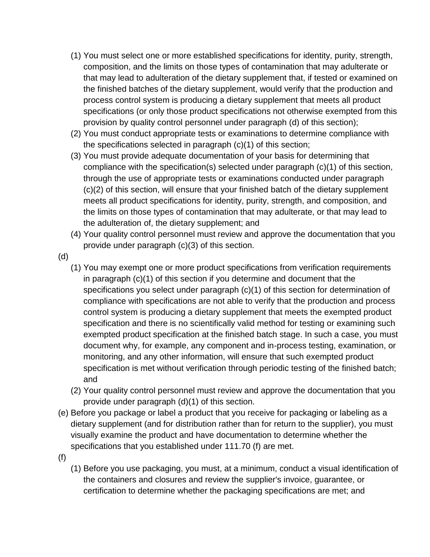- (1) You must select one or more established specifications for identity, purity, strength, composition, and the limits on those types of contamination that may adulterate or that may lead to adulteration of the dietary supplement that, if tested or examined on the finished batches of the dietary supplement, would verify that the production and process control system is producing a dietary supplement that meets all product specifications (or only those product specifications not otherwise exempted from this provision by quality control personnel under paragraph (d) of this section);
- (2) You must conduct appropriate tests or examinations to determine compliance with the specifications selected in paragraph (c)(1) of this section;
- (3) You must provide adequate documentation of your basis for determining that compliance with the specification(s) selected under paragraph (c)(1) of this section, through the use of appropriate tests or examinations conducted under paragraph (c)(2) of this section, will ensure that your finished batch of the dietary supplement meets all product specifications for identity, purity, strength, and composition, and the limits on those types of contamination that may adulterate, or that may lead to the adulteration of, the dietary supplement; and
- (4) Your quality control personnel must review and approve the documentation that you provide under paragraph (c)(3) of this section.
- (d)
	- (1) You may exempt one or more product specifications from verification requirements in paragraph (c)(1) of this section if you determine and document that the specifications you select under paragraph (c)(1) of this section for determination of compliance with specifications are not able to verify that the production and process control system is producing a dietary supplement that meets the exempted product specification and there is no scientifically valid method for testing or examining such exempted product specification at the finished batch stage. In such a case, you must document why, for example, any component and in-process testing, examination, or monitoring, and any other information, will ensure that such exempted product specification is met without verification through periodic testing of the finished batch; and
	- (2) Your quality control personnel must review and approve the documentation that you provide under paragraph (d)(1) of this section.
- (e) Before you package or label a product that you receive for packaging or labeling as a dietary supplement (and for distribution rather than for return to the supplier), you must visually examine the product and have documentation to determine whether the specifications that you established under 111.70 (f) are met.
- (f)
- (1) Before you use packaging, you must, at a minimum, conduct a visual identification of the containers and closures and review the supplier's invoice, guarantee, or certification to determine whether the packaging specifications are met; and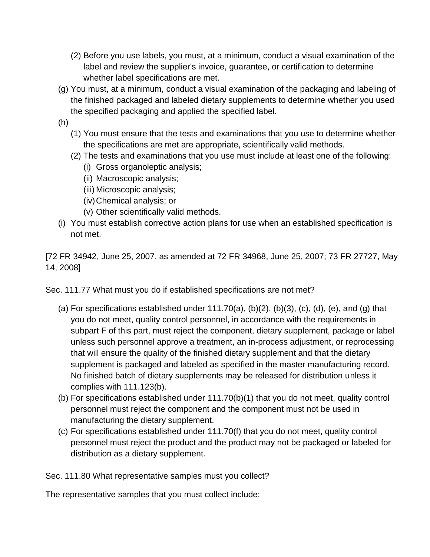- (2) Before you use labels, you must, at a minimum, conduct a visual examination of the label and review the supplier's invoice, guarantee, or certification to determine whether label specifications are met.
- (g) You must, at a minimum, conduct a visual examination of the packaging and labeling of the finished packaged and labeled dietary supplements to determine whether you used the specified packaging and applied the specified label.
- (h)
	- (1) You must ensure that the tests and examinations that you use to determine whether the specifications are met are appropriate, scientifically valid methods.
	- (2) The tests and examinations that you use must include at least one of the following:
		- (i) Gross organoleptic analysis;
		- (ii) Macroscopic analysis;
		- (iii) Microscopic analysis;
		- (iv)Chemical analysis; or
		- (v) Other scientifically valid methods.
- (i) You must establish corrective action plans for use when an established specification is not met.

[72 FR 34942, June 25, 2007, as amended at 72 FR 34968, June 25, 2007; 73 FR 27727, May 14, 2008]

Sec. 111.77 What must you do if established specifications are not met?

- (a) For specifications established under  $111.70(a)$ ,  $(b)(2)$ ,  $(b)(3)$ ,  $(c)$ ,  $(d)$ ,  $(e)$ , and  $(g)$  that you do not meet, quality control personnel, in accordance with the requirements in subpart F of this part, must reject the component, dietary supplement, package or label unless such personnel approve a treatment, an in-process adjustment, or reprocessing that will ensure the quality of the finished dietary supplement and that the dietary supplement is packaged and labeled as specified in the master manufacturing record. No finished batch of dietary supplements may be released for distribution unless it complies with 111.123(b).
- (b) For specifications established under 111.70(b)(1) that you do not meet, quality control personnel must reject the component and the component must not be used in manufacturing the dietary supplement.
- (c) For specifications established under 111.70(f) that you do not meet, quality control personnel must reject the product and the product may not be packaged or labeled for distribution as a dietary supplement.

Sec. 111.80 What representative samples must you collect?

The representative samples that you must collect include: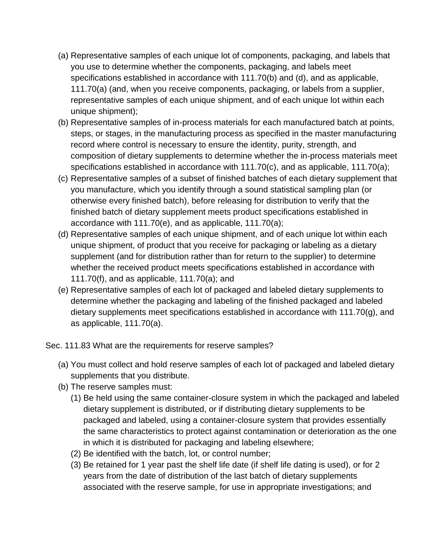- (a) Representative samples of each unique lot of components, packaging, and labels that you use to determine whether the components, packaging, and labels meet specifications established in accordance with 111.70(b) and (d), and as applicable, 111.70(a) (and, when you receive components, packaging, or labels from a supplier, representative samples of each unique shipment, and of each unique lot within each unique shipment);
- (b) Representative samples of in-process materials for each manufactured batch at points, steps, or stages, in the manufacturing process as specified in the master manufacturing record where control is necessary to ensure the identity, purity, strength, and composition of dietary supplements to determine whether the in-process materials meet specifications established in accordance with 111.70(c), and as applicable, 111.70(a);
- (c) Representative samples of a subset of finished batches of each dietary supplement that you manufacture, which you identify through a sound statistical sampling plan (or otherwise every finished batch), before releasing for distribution to verify that the finished batch of dietary supplement meets product specifications established in accordance with 111.70(e), and as applicable, 111.70(a);
- (d) Representative samples of each unique shipment, and of each unique lot within each unique shipment, of product that you receive for packaging or labeling as a dietary supplement (and for distribution rather than for return to the supplier) to determine whether the received product meets specifications established in accordance with 111.70(f), and as applicable, 111.70(a); and
- (e) Representative samples of each lot of packaged and labeled dietary supplements to determine whether the packaging and labeling of the finished packaged and labeled dietary supplements meet specifications established in accordance with 111.70(g), and as applicable, 111.70(a).

Sec. 111.83 What are the requirements for reserve samples?

- (a) You must collect and hold reserve samples of each lot of packaged and labeled dietary supplements that you distribute.
- (b) The reserve samples must:
	- (1) Be held using the same container-closure system in which the packaged and labeled dietary supplement is distributed, or if distributing dietary supplements to be packaged and labeled, using a container-closure system that provides essentially the same characteristics to protect against contamination or deterioration as the one in which it is distributed for packaging and labeling elsewhere;
	- (2) Be identified with the batch, lot, or control number;
	- (3) Be retained for 1 year past the shelf life date (if shelf life dating is used), or for 2 years from the date of distribution of the last batch of dietary supplements associated with the reserve sample, for use in appropriate investigations; and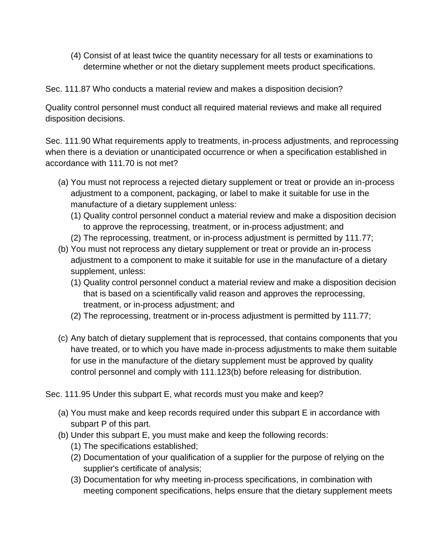(4) Consist of at least twice the quantity necessary for all tests or examinations to determine whether or not the dietary supplement meets product specifications.

Sec. 111.87 Who conducts a material review and makes a disposition decision?

Quality control personnel must conduct all required material reviews and make all required disposition decisions.

Sec. 111.90 What requirements apply to treatments, in-process adjustments, and reprocessing when there is a deviation or unanticipated occurrence or when a specification established in accordance with 111.70 is not met?

- (a) You must not reprocess a rejected dietary supplement or treat or provide an in-process adjustment to a component, packaging, or label to make it suitable for use in the manufacture of a dietary supplement unless:
	- (1) Quality control personnel conduct a material review and make a disposition decision to approve the reprocessing, treatment, or in-process adjustment; and
	- (2) The reprocessing, treatment, or in-process adjustment is permitted by 111.77;
- (b) You must not reprocess any dietary supplement or treat or provide an in-process adjustment to a component to make it suitable for use in the manufacture of a dietary supplement, unless:
	- (1) Quality control personnel conduct a material review and make a disposition decision that is based on a scientifically valid reason and approves the reprocessing, treatment, or in-process adjustment; and
	- (2) The reprocessing, treatment or in-process adjustment is permitted by 111.77;
- (c) Any batch of dietary supplement that is reprocessed, that contains components that you have treated, or to which you have made in-process adjustments to make them suitable for use in the manufacture of the dietary supplement must be approved by quality control personnel and comply with 111.123(b) before releasing for distribution.

Sec. 111.95 Under this subpart E, what records must you make and keep?

- (a) You must make and keep records required under this subpart E in accordance with subpart P of this part.
- (b) Under this subpart E, you must make and keep the following records:
	- (1) The specifications established;
	- (2) Documentation of your qualification of a supplier for the purpose of relying on the supplier's certificate of analysis;
	- (3) Documentation for why meeting in-process specifications, in combination with meeting component specifications, helps ensure that the dietary supplement meets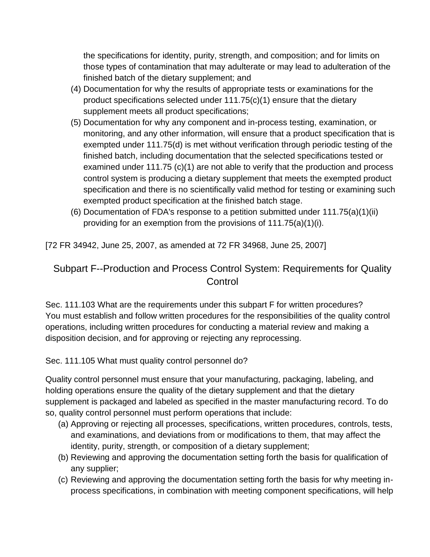the specifications for identity, purity, strength, and composition; and for limits on those types of contamination that may adulterate or may lead to adulteration of the finished batch of the dietary supplement; and

- (4) Documentation for why the results of appropriate tests or examinations for the product specifications selected under 111.75(c)(1) ensure that the dietary supplement meets all product specifications;
- (5) Documentation for why any component and in-process testing, examination, or monitoring, and any other information, will ensure that a product specification that is exempted under 111.75(d) is met without verification through periodic testing of the finished batch, including documentation that the selected specifications tested or examined under 111.75 (c)(1) are not able to verify that the production and process control system is producing a dietary supplement that meets the exempted product specification and there is no scientifically valid method for testing or examining such exempted product specification at the finished batch stage.
- (6) Documentation of FDA's response to a petition submitted under 111.75(a)(1)(ii) providing for an exemption from the provisions of 111.75(a)(1)(i).

[72 FR 34942, June 25, 2007, as amended at 72 FR 34968, June 25, 2007]

# Subpart F--Production and Process Control System: Requirements for Quality **Control**

Sec. 111.103 What are the requirements under this subpart F for written procedures? You must establish and follow written procedures for the responsibilities of the quality control operations, including written procedures for conducting a material review and making a disposition decision, and for approving or rejecting any reprocessing.

Sec. 111.105 What must quality control personnel do?

Quality control personnel must ensure that your manufacturing, packaging, labeling, and holding operations ensure the quality of the dietary supplement and that the dietary supplement is packaged and labeled as specified in the master manufacturing record. To do so, quality control personnel must perform operations that include:

- (a) Approving or rejecting all processes, specifications, written procedures, controls, tests, and examinations, and deviations from or modifications to them, that may affect the identity, purity, strength, or composition of a dietary supplement;
- (b) Reviewing and approving the documentation setting forth the basis for qualification of any supplier;
- (c) Reviewing and approving the documentation setting forth the basis for why meeting inprocess specifications, in combination with meeting component specifications, will help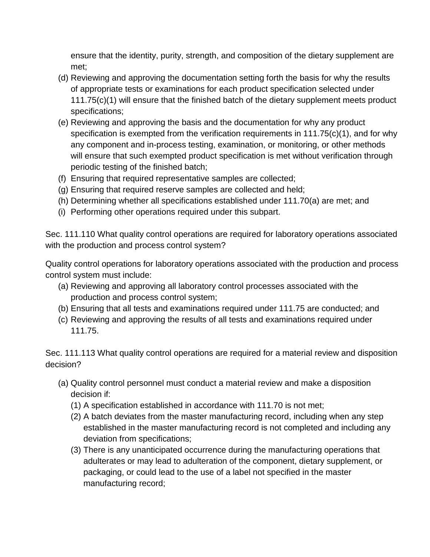ensure that the identity, purity, strength, and composition of the dietary supplement are met;

- (d) Reviewing and approving the documentation setting forth the basis for why the results of appropriate tests or examinations for each product specification selected under 111.75(c)(1) will ensure that the finished batch of the dietary supplement meets product specifications;
- (e) Reviewing and approving the basis and the documentation for why any product specification is exempted from the verification requirements in 111.75(c)(1), and for why any component and in-process testing, examination, or monitoring, or other methods will ensure that such exempted product specification is met without verification through periodic testing of the finished batch;
- (f) Ensuring that required representative samples are collected;
- (g) Ensuring that required reserve samples are collected and held;
- (h) Determining whether all specifications established under 111.70(a) are met; and
- (i) Performing other operations required under this subpart.

Sec. 111.110 What quality control operations are required for laboratory operations associated with the production and process control system?

Quality control operations for laboratory operations associated with the production and process control system must include:

- (a) Reviewing and approving all laboratory control processes associated with the production and process control system;
- (b) Ensuring that all tests and examinations required under 111.75 are conducted; and
- (c) Reviewing and approving the results of all tests and examinations required under 111.75.

Sec. 111.113 What quality control operations are required for a material review and disposition decision?

- (a) Quality control personnel must conduct a material review and make a disposition decision if:
	- (1) A specification established in accordance with 111.70 is not met;
	- (2) A batch deviates from the master manufacturing record, including when any step established in the master manufacturing record is not completed and including any deviation from specifications;
	- (3) There is any unanticipated occurrence during the manufacturing operations that adulterates or may lead to adulteration of the component, dietary supplement, or packaging, or could lead to the use of a label not specified in the master manufacturing record;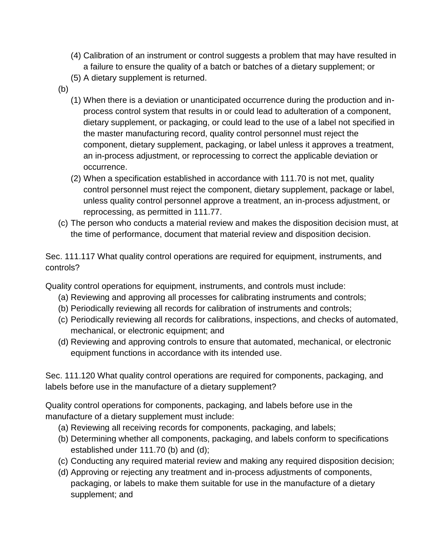- (4) Calibration of an instrument or control suggests a problem that may have resulted in a failure to ensure the quality of a batch or batches of a dietary supplement; or
- (5) A dietary supplement is returned.
- (b)
	- (1) When there is a deviation or unanticipated occurrence during the production and inprocess control system that results in or could lead to adulteration of a component, dietary supplement, or packaging, or could lead to the use of a label not specified in the master manufacturing record, quality control personnel must reject the component, dietary supplement, packaging, or label unless it approves a treatment, an in-process adjustment, or reprocessing to correct the applicable deviation or occurrence.
	- (2) When a specification established in accordance with 111.70 is not met, quality control personnel must reject the component, dietary supplement, package or label, unless quality control personnel approve a treatment, an in-process adjustment, or reprocessing, as permitted in 111.77.
- (c) The person who conducts a material review and makes the disposition decision must, at the time of performance, document that material review and disposition decision.

Sec. 111.117 What quality control operations are required for equipment, instruments, and controls?

Quality control operations for equipment, instruments, and controls must include:

- (a) Reviewing and approving all processes for calibrating instruments and controls;
- (b) Periodically reviewing all records for calibration of instruments and controls;
- (c) Periodically reviewing all records for calibrations, inspections, and checks of automated, mechanical, or electronic equipment; and
- (d) Reviewing and approving controls to ensure that automated, mechanical, or electronic equipment functions in accordance with its intended use.

Sec. 111.120 What quality control operations are required for components, packaging, and labels before use in the manufacture of a dietary supplement?

Quality control operations for components, packaging, and labels before use in the manufacture of a dietary supplement must include:

- (a) Reviewing all receiving records for components, packaging, and labels;
- (b) Determining whether all components, packaging, and labels conform to specifications established under 111.70 (b) and (d);
- (c) Conducting any required material review and making any required disposition decision;
- (d) Approving or rejecting any treatment and in-process adjustments of components, packaging, or labels to make them suitable for use in the manufacture of a dietary supplement; and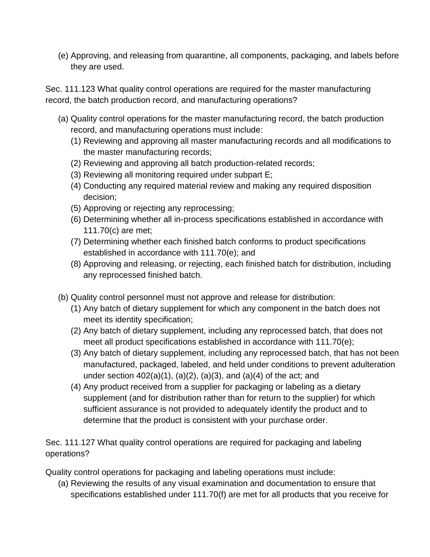(e) Approving, and releasing from quarantine, all components, packaging, and labels before they are used.

Sec. 111.123 What quality control operations are required for the master manufacturing record, the batch production record, and manufacturing operations?

- (a) Quality control operations for the master manufacturing record, the batch production record, and manufacturing operations must include:
	- (1) Reviewing and approving all master manufacturing records and all modifications to the master manufacturing records;
	- (2) Reviewing and approving all batch production-related records;
	- (3) Reviewing all monitoring required under subpart E;
	- (4) Conducting any required material review and making any required disposition decision;
	- (5) Approving or rejecting any reprocessing;
	- (6) Determining whether all in-process specifications established in accordance with 111.70(c) are met;
	- (7) Determining whether each finished batch conforms to product specifications established in accordance with 111.70(e); and
	- (8) Approving and releasing, or rejecting, each finished batch for distribution, including any reprocessed finished batch.
- (b) Quality control personnel must not approve and release for distribution:
	- (1) Any batch of dietary supplement for which any component in the batch does not meet its identity specification;
	- (2) Any batch of dietary supplement, including any reprocessed batch, that does not meet all product specifications established in accordance with 111.70(e);
	- (3) Any batch of dietary supplement, including any reprocessed batch, that has not been manufactured, packaged, labeled, and held under conditions to prevent adulteration under section  $402(a)(1)$ ,  $(a)(2)$ ,  $(a)(3)$ , and  $(a)(4)$  of the act; and
	- (4) Any product received from a supplier for packaging or labeling as a dietary supplement (and for distribution rather than for return to the supplier) for which sufficient assurance is not provided to adequately identify the product and to determine that the product is consistent with your purchase order.

Sec. 111.127 What quality control operations are required for packaging and labeling operations?

Quality control operations for packaging and labeling operations must include:

(a) Reviewing the results of any visual examination and documentation to ensure that specifications established under 111.70(f) are met for all products that you receive for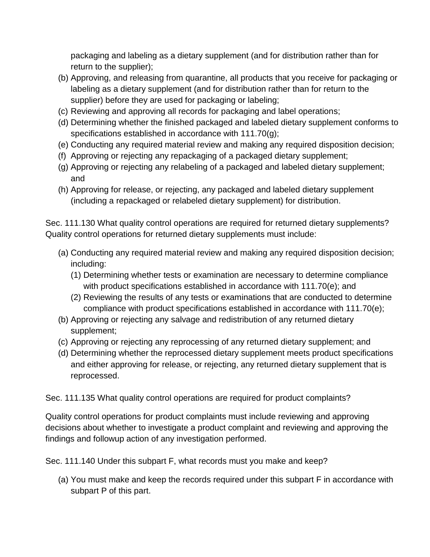packaging and labeling as a dietary supplement (and for distribution rather than for return to the supplier);

- (b) Approving, and releasing from quarantine, all products that you receive for packaging or labeling as a dietary supplement (and for distribution rather than for return to the supplier) before they are used for packaging or labeling;
- (c) Reviewing and approving all records for packaging and label operations;
- (d) Determining whether the finished packaged and labeled dietary supplement conforms to specifications established in accordance with 111.70(g);
- (e) Conducting any required material review and making any required disposition decision;
- (f) Approving or rejecting any repackaging of a packaged dietary supplement;
- (g) Approving or rejecting any relabeling of a packaged and labeled dietary supplement; and
- (h) Approving for release, or rejecting, any packaged and labeled dietary supplement (including a repackaged or relabeled dietary supplement) for distribution.

Sec. 111.130 What quality control operations are required for returned dietary supplements? Quality control operations for returned dietary supplements must include:

- (a) Conducting any required material review and making any required disposition decision; including:
	- (1) Determining whether tests or examination are necessary to determine compliance with product specifications established in accordance with 111.70(e); and
	- (2) Reviewing the results of any tests or examinations that are conducted to determine compliance with product specifications established in accordance with 111.70(e);
- (b) Approving or rejecting any salvage and redistribution of any returned dietary supplement;
- (c) Approving or rejecting any reprocessing of any returned dietary supplement; and
- (d) Determining whether the reprocessed dietary supplement meets product specifications and either approving for release, or rejecting, any returned dietary supplement that is reprocessed.

Sec. 111.135 What quality control operations are required for product complaints?

Quality control operations for product complaints must include reviewing and approving decisions about whether to investigate a product complaint and reviewing and approving the findings and followup action of any investigation performed.

Sec. 111.140 Under this subpart F, what records must you make and keep?

(a) You must make and keep the records required under this subpart F in accordance with subpart P of this part.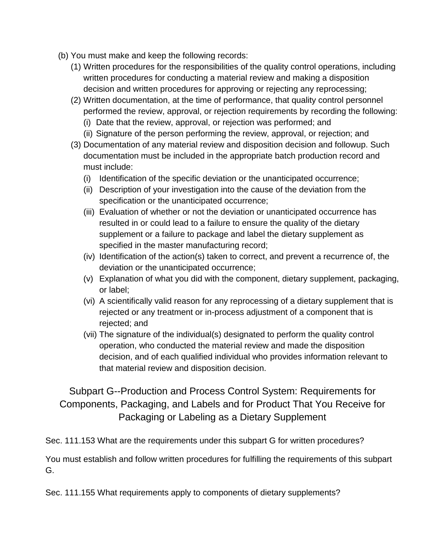- (b) You must make and keep the following records:
	- (1) Written procedures for the responsibilities of the quality control operations, including written procedures for conducting a material review and making a disposition decision and written procedures for approving or rejecting any reprocessing;
	- (2) Written documentation, at the time of performance, that quality control personnel performed the review, approval, or rejection requirements by recording the following:
		- (i) Date that the review, approval, or rejection was performed; and
		- (ii) Signature of the person performing the review, approval, or rejection; and
	- (3) Documentation of any material review and disposition decision and followup. Such documentation must be included in the appropriate batch production record and must include:
		- (i) Identification of the specific deviation or the unanticipated occurrence;
		- (ii) Description of your investigation into the cause of the deviation from the specification or the unanticipated occurrence;
		- (iii) Evaluation of whether or not the deviation or unanticipated occurrence has resulted in or could lead to a failure to ensure the quality of the dietary supplement or a failure to package and label the dietary supplement as specified in the master manufacturing record;
		- (iv) Identification of the action(s) taken to correct, and prevent a recurrence of, the deviation or the unanticipated occurrence;
		- (v) Explanation of what you did with the component, dietary supplement, packaging, or label;
		- (vi) A scientifically valid reason for any reprocessing of a dietary supplement that is rejected or any treatment or in-process adjustment of a component that is rejected; and
		- (vii) The signature of the individual(s) designated to perform the quality control operation, who conducted the material review and made the disposition decision, and of each qualified individual who provides information relevant to that material review and disposition decision.

Subpart G--Production and Process Control System: Requirements for Components, Packaging, and Labels and for Product That You Receive for Packaging or Labeling as a Dietary Supplement

Sec. 111.153 What are the requirements under this subpart G for written procedures?

You must establish and follow written procedures for fulfilling the requirements of this subpart G.

Sec. 111.155 What requirements apply to components of dietary supplements?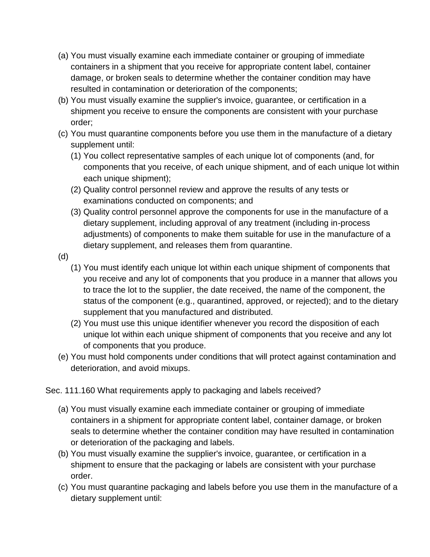- (a) You must visually examine each immediate container or grouping of immediate containers in a shipment that you receive for appropriate content label, container damage, or broken seals to determine whether the container condition may have resulted in contamination or deterioration of the components;
- (b) You must visually examine the supplier's invoice, guarantee, or certification in a shipment you receive to ensure the components are consistent with your purchase order;
- (c) You must quarantine components before you use them in the manufacture of a dietary supplement until:
	- (1) You collect representative samples of each unique lot of components (and, for components that you receive, of each unique shipment, and of each unique lot within each unique shipment);
	- (2) Quality control personnel review and approve the results of any tests or examinations conducted on components; and
	- (3) Quality control personnel approve the components for use in the manufacture of a dietary supplement, including approval of any treatment (including in-process adjustments) of components to make them suitable for use in the manufacture of a dietary supplement, and releases them from quarantine.
- (d)
	- (1) You must identify each unique lot within each unique shipment of components that you receive and any lot of components that you produce in a manner that allows you to trace the lot to the supplier, the date received, the name of the component, the status of the component (e.g., quarantined, approved, or rejected); and to the dietary supplement that you manufactured and distributed.
	- (2) You must use this unique identifier whenever you record the disposition of each unique lot within each unique shipment of components that you receive and any lot of components that you produce.
- (e) You must hold components under conditions that will protect against contamination and deterioration, and avoid mixups.

Sec. 111.160 What requirements apply to packaging and labels received?

- (a) You must visually examine each immediate container or grouping of immediate containers in a shipment for appropriate content label, container damage, or broken seals to determine whether the container condition may have resulted in contamination or deterioration of the packaging and labels.
- (b) You must visually examine the supplier's invoice, guarantee, or certification in a shipment to ensure that the packaging or labels are consistent with your purchase order.
- (c) You must quarantine packaging and labels before you use them in the manufacture of a dietary supplement until: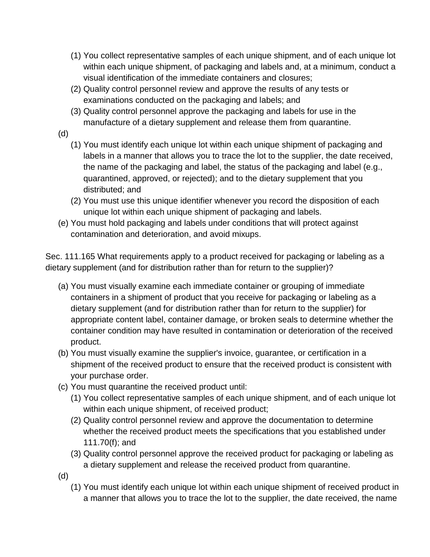- (1) You collect representative samples of each unique shipment, and of each unique lot within each unique shipment, of packaging and labels and, at a minimum, conduct a visual identification of the immediate containers and closures;
- (2) Quality control personnel review and approve the results of any tests or examinations conducted on the packaging and labels; and
- (3) Quality control personnel approve the packaging and labels for use in the manufacture of a dietary supplement and release them from quarantine.
- (d)
	- (1) You must identify each unique lot within each unique shipment of packaging and labels in a manner that allows you to trace the lot to the supplier, the date received, the name of the packaging and label, the status of the packaging and label (e.g., quarantined, approved, or rejected); and to the dietary supplement that you distributed; and
	- (2) You must use this unique identifier whenever you record the disposition of each unique lot within each unique shipment of packaging and labels.
- (e) You must hold packaging and labels under conditions that will protect against contamination and deterioration, and avoid mixups.

Sec. 111.165 What requirements apply to a product received for packaging or labeling as a dietary supplement (and for distribution rather than for return to the supplier)?

- (a) You must visually examine each immediate container or grouping of immediate containers in a shipment of product that you receive for packaging or labeling as a dietary supplement (and for distribution rather than for return to the supplier) for appropriate content label, container damage, or broken seals to determine whether the container condition may have resulted in contamination or deterioration of the received product.
- (b) You must visually examine the supplier's invoice, guarantee, or certification in a shipment of the received product to ensure that the received product is consistent with your purchase order.
- (c) You must quarantine the received product until:
	- (1) You collect representative samples of each unique shipment, and of each unique lot within each unique shipment, of received product;
	- (2) Quality control personnel review and approve the documentation to determine whether the received product meets the specifications that you established under 111.70(f); and
	- (3) Quality control personnel approve the received product for packaging or labeling as a dietary supplement and release the received product from quarantine.
- (d)
	- (1) You must identify each unique lot within each unique shipment of received product in a manner that allows you to trace the lot to the supplier, the date received, the name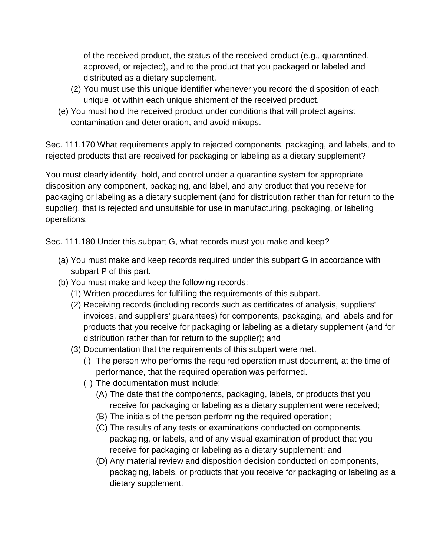of the received product, the status of the received product (e.g., quarantined, approved, or rejected), and to the product that you packaged or labeled and distributed as a dietary supplement.

- (2) You must use this unique identifier whenever you record the disposition of each unique lot within each unique shipment of the received product.
- (e) You must hold the received product under conditions that will protect against contamination and deterioration, and avoid mixups.

Sec. 111.170 What requirements apply to rejected components, packaging, and labels, and to rejected products that are received for packaging or labeling as a dietary supplement?

You must clearly identify, hold, and control under a quarantine system for appropriate disposition any component, packaging, and label, and any product that you receive for packaging or labeling as a dietary supplement (and for distribution rather than for return to the supplier), that is rejected and unsuitable for use in manufacturing, packaging, or labeling operations.

Sec. 111.180 Under this subpart G, what records must you make and keep?

- (a) You must make and keep records required under this subpart G in accordance with subpart P of this part.
- (b) You must make and keep the following records:
	- (1) Written procedures for fulfilling the requirements of this subpart.
	- (2) Receiving records (including records such as certificates of analysis, suppliers' invoices, and suppliers' guarantees) for components, packaging, and labels and for products that you receive for packaging or labeling as a dietary supplement (and for distribution rather than for return to the supplier); and
	- (3) Documentation that the requirements of this subpart were met.
		- (i) The person who performs the required operation must document, at the time of performance, that the required operation was performed.
		- (ii) The documentation must include:
			- (A) The date that the components, packaging, labels, or products that you receive for packaging or labeling as a dietary supplement were received;
			- (B) The initials of the person performing the required operation;
			- (C) The results of any tests or examinations conducted on components, packaging, or labels, and of any visual examination of product that you receive for packaging or labeling as a dietary supplement; and
			- (D) Any material review and disposition decision conducted on components, packaging, labels, or products that you receive for packaging or labeling as a dietary supplement.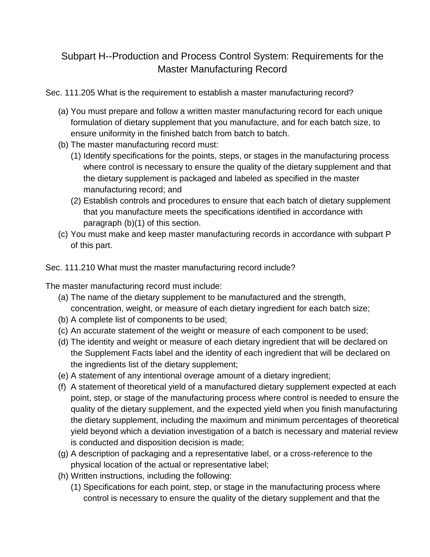## Subpart H--Production and Process Control System: Requirements for the Master Manufacturing Record

Sec. 111.205 What is the requirement to establish a master manufacturing record?

- (a) You must prepare and follow a written master manufacturing record for each unique formulation of dietary supplement that you manufacture, and for each batch size, to ensure uniformity in the finished batch from batch to batch.
- (b) The master manufacturing record must:
	- (1) Identify specifications for the points, steps, or stages in the manufacturing process where control is necessary to ensure the quality of the dietary supplement and that the dietary supplement is packaged and labeled as specified in the master manufacturing record; and
	- (2) Establish controls and procedures to ensure that each batch of dietary supplement that you manufacture meets the specifications identified in accordance with paragraph (b)(1) of this section.
- (c) You must make and keep master manufacturing records in accordance with subpart P of this part.

Sec. 111.210 What must the master manufacturing record include?

The master manufacturing record must include:

- (a) The name of the dietary supplement to be manufactured and the strength, concentration, weight, or measure of each dietary ingredient for each batch size;
- (b) A complete list of components to be used;
- (c) An accurate statement of the weight or measure of each component to be used;
- (d) The identity and weight or measure of each dietary ingredient that will be declared on the Supplement Facts label and the identity of each ingredient that will be declared on the ingredients list of the dietary supplement;
- (e) A statement of any intentional overage amount of a dietary ingredient;
- (f) A statement of theoretical yield of a manufactured dietary supplement expected at each point, step, or stage of the manufacturing process where control is needed to ensure the quality of the dietary supplement, and the expected yield when you finish manufacturing the dietary supplement, including the maximum and minimum percentages of theoretical yield beyond which a deviation investigation of a batch is necessary and material review is conducted and disposition decision is made;
- (g) A description of packaging and a representative label, or a cross-reference to the physical location of the actual or representative label;
- (h) Written instructions, including the following:
	- (1) Specifications for each point, step, or stage in the manufacturing process where control is necessary to ensure the quality of the dietary supplement and that the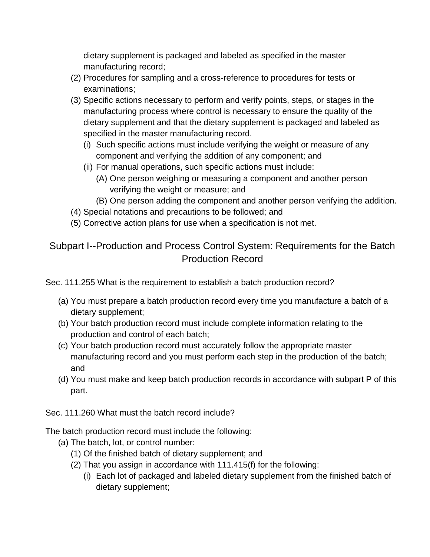dietary supplement is packaged and labeled as specified in the master manufacturing record;

- (2) Procedures for sampling and a cross-reference to procedures for tests or examinations;
- (3) Specific actions necessary to perform and verify points, steps, or stages in the manufacturing process where control is necessary to ensure the quality of the dietary supplement and that the dietary supplement is packaged and labeled as specified in the master manufacturing record.
	- (i) Such specific actions must include verifying the weight or measure of any component and verifying the addition of any component; and
	- (ii) For manual operations, such specific actions must include:
		- (A) One person weighing or measuring a component and another person verifying the weight or measure; and
		- (B) One person adding the component and another person verifying the addition.
- (4) Special notations and precautions to be followed; and
- (5) Corrective action plans for use when a specification is not met.

# Subpart I--Production and Process Control System: Requirements for the Batch Production Record

Sec. 111.255 What is the requirement to establish a batch production record?

- (a) You must prepare a batch production record every time you manufacture a batch of a dietary supplement;
- (b) Your batch production record must include complete information relating to the production and control of each batch;
- (c) Your batch production record must accurately follow the appropriate master manufacturing record and you must perform each step in the production of the batch; and
- (d) You must make and keep batch production records in accordance with subpart P of this part.

Sec. 111.260 What must the batch record include?

The batch production record must include the following:

- (a) The batch, lot, or control number:
	- (1) Of the finished batch of dietary supplement; and
	- (2) That you assign in accordance with 111.415(f) for the following:
		- (i) Each lot of packaged and labeled dietary supplement from the finished batch of dietary supplement;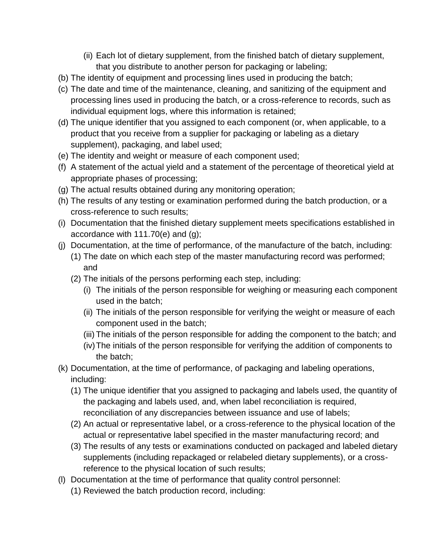- (ii) Each lot of dietary supplement, from the finished batch of dietary supplement, that you distribute to another person for packaging or labeling;
- (b) The identity of equipment and processing lines used in producing the batch;
- (c) The date and time of the maintenance, cleaning, and sanitizing of the equipment and processing lines used in producing the batch, or a cross-reference to records, such as individual equipment logs, where this information is retained;
- (d) The unique identifier that you assigned to each component (or, when applicable, to a product that you receive from a supplier for packaging or labeling as a dietary supplement), packaging, and label used;
- (e) The identity and weight or measure of each component used;
- (f) A statement of the actual yield and a statement of the percentage of theoretical yield at appropriate phases of processing;
- (g) The actual results obtained during any monitoring operation;
- (h) The results of any testing or examination performed during the batch production, or a cross-reference to such results;
- (i) Documentation that the finished dietary supplement meets specifications established in accordance with 111.70(e) and (g);
- (j) Documentation, at the time of performance, of the manufacture of the batch, including:
	- (1) The date on which each step of the master manufacturing record was performed; and
	- (2) The initials of the persons performing each step, including:
		- (i) The initials of the person responsible for weighing or measuring each component used in the batch;
		- (ii) The initials of the person responsible for verifying the weight or measure of each component used in the batch;
		- (iii) The initials of the person responsible for adding the component to the batch; and
		- (iv)The initials of the person responsible for verifying the addition of components to the batch;
- (k) Documentation, at the time of performance, of packaging and labeling operations, including:
	- (1) The unique identifier that you assigned to packaging and labels used, the quantity of the packaging and labels used, and, when label reconciliation is required, reconciliation of any discrepancies between issuance and use of labels;
	- (2) An actual or representative label, or a cross-reference to the physical location of the actual or representative label specified in the master manufacturing record; and
	- (3) The results of any tests or examinations conducted on packaged and labeled dietary supplements (including repackaged or relabeled dietary supplements), or a crossreference to the physical location of such results;
- (l) Documentation at the time of performance that quality control personnel:
	- (1) Reviewed the batch production record, including: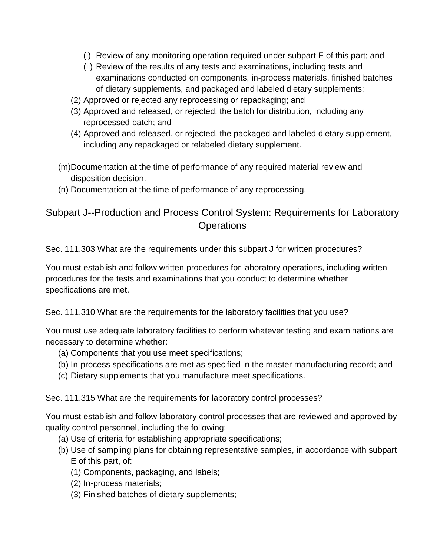- (i) Review of any monitoring operation required under subpart E of this part; and
- (ii) Review of the results of any tests and examinations, including tests and examinations conducted on components, in-process materials, finished batches of dietary supplements, and packaged and labeled dietary supplements;
- (2) Approved or rejected any reprocessing or repackaging; and
- (3) Approved and released, or rejected, the batch for distribution, including any reprocessed batch; and
- (4) Approved and released, or rejected, the packaged and labeled dietary supplement, including any repackaged or relabeled dietary supplement.
- (m)Documentation at the time of performance of any required material review and disposition decision.
- (n) Documentation at the time of performance of any reprocessing.

#### Subpart J--Production and Process Control System: Requirements for Laboratory **Operations**

Sec. 111.303 What are the requirements under this subpart J for written procedures?

You must establish and follow written procedures for laboratory operations, including written procedures for the tests and examinations that you conduct to determine whether specifications are met.

Sec. 111.310 What are the requirements for the laboratory facilities that you use?

You must use adequate laboratory facilities to perform whatever testing and examinations are necessary to determine whether:

- (a) Components that you use meet specifications;
- (b) In-process specifications are met as specified in the master manufacturing record; and
- (c) Dietary supplements that you manufacture meet specifications.

Sec. 111.315 What are the requirements for laboratory control processes?

You must establish and follow laboratory control processes that are reviewed and approved by quality control personnel, including the following:

- (a) Use of criteria for establishing appropriate specifications;
- (b) Use of sampling plans for obtaining representative samples, in accordance with subpart E of this part, of:
	- (1) Components, packaging, and labels;
	- (2) In-process materials;
	- (3) Finished batches of dietary supplements;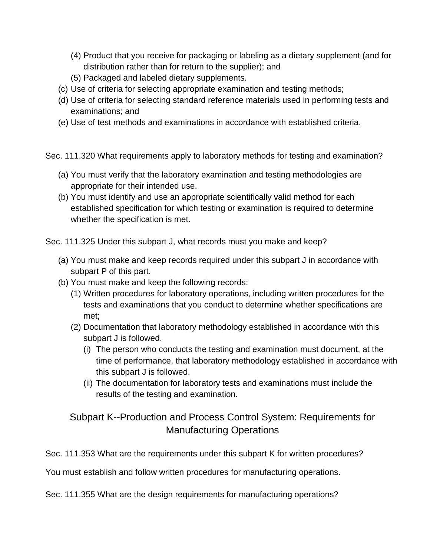- (4) Product that you receive for packaging or labeling as a dietary supplement (and for distribution rather than for return to the supplier); and
- (5) Packaged and labeled dietary supplements.
- (c) Use of criteria for selecting appropriate examination and testing methods;
- (d) Use of criteria for selecting standard reference materials used in performing tests and examinations; and
- (e) Use of test methods and examinations in accordance with established criteria.

Sec. 111.320 What requirements apply to laboratory methods for testing and examination?

- (a) You must verify that the laboratory examination and testing methodologies are appropriate for their intended use.
- (b) You must identify and use an appropriate scientifically valid method for each established specification for which testing or examination is required to determine whether the specification is met.

Sec. 111.325 Under this subpart J, what records must you make and keep?

- (a) You must make and keep records required under this subpart J in accordance with subpart P of this part.
- (b) You must make and keep the following records:
	- (1) Written procedures for laboratory operations, including written procedures for the tests and examinations that you conduct to determine whether specifications are met;
	- (2) Documentation that laboratory methodology established in accordance with this subpart J is followed.
		- (i) The person who conducts the testing and examination must document, at the time of performance, that laboratory methodology established in accordance with this subpart J is followed.
		- (ii) The documentation for laboratory tests and examinations must include the results of the testing and examination.

#### Subpart K--Production and Process Control System: Requirements for Manufacturing Operations

Sec. 111.353 What are the requirements under this subpart K for written procedures?

You must establish and follow written procedures for manufacturing operations.

Sec. 111.355 What are the design requirements for manufacturing operations?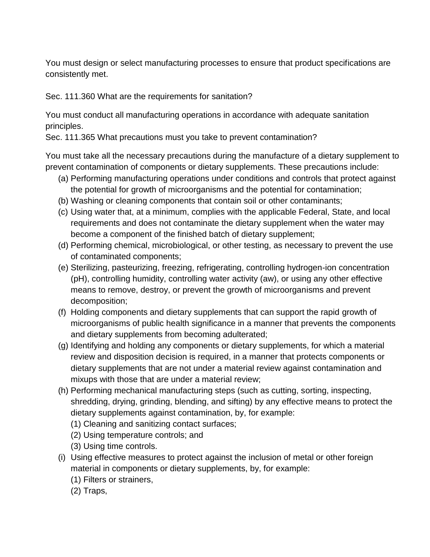You must design or select manufacturing processes to ensure that product specifications are consistently met.

Sec. 111.360 What are the requirements for sanitation?

You must conduct all manufacturing operations in accordance with adequate sanitation principles.

Sec. 111.365 What precautions must you take to prevent contamination?

You must take all the necessary precautions during the manufacture of a dietary supplement to prevent contamination of components or dietary supplements. These precautions include:

- (a) Performing manufacturing operations under conditions and controls that protect against the potential for growth of microorganisms and the potential for contamination;
- (b) Washing or cleaning components that contain soil or other contaminants;
- (c) Using water that, at a minimum, complies with the applicable Federal, State, and local requirements and does not contaminate the dietary supplement when the water may become a component of the finished batch of dietary supplement;
- (d) Performing chemical, microbiological, or other testing, as necessary to prevent the use of contaminated components;
- (e) Sterilizing, pasteurizing, freezing, refrigerating, controlling hydrogen-ion concentration (pH), controlling humidity, controlling water activity (aw), or using any other effective means to remove, destroy, or prevent the growth of microorganisms and prevent decomposition;
- (f) Holding components and dietary supplements that can support the rapid growth of microorganisms of public health significance in a manner that prevents the components and dietary supplements from becoming adulterated;
- (g) Identifying and holding any components or dietary supplements, for which a material review and disposition decision is required, in a manner that protects components or dietary supplements that are not under a material review against contamination and mixups with those that are under a material review;
- (h) Performing mechanical manufacturing steps (such as cutting, sorting, inspecting, shredding, drying, grinding, blending, and sifting) by any effective means to protect the dietary supplements against contamination, by, for example:
	- (1) Cleaning and sanitizing contact surfaces;
	- (2) Using temperature controls; and
	- (3) Using time controls.
- (i) Using effective measures to protect against the inclusion of metal or other foreign material in components or dietary supplements, by, for example:
	- (1) Filters or strainers,
	- (2) Traps,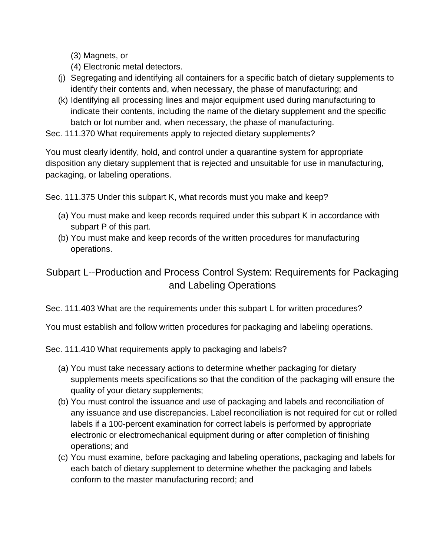(3) Magnets, or

- (4) Electronic metal detectors.
- (j) Segregating and identifying all containers for a specific batch of dietary supplements to identify their contents and, when necessary, the phase of manufacturing; and
- (k) Identifying all processing lines and major equipment used during manufacturing to indicate their contents, including the name of the dietary supplement and the specific batch or lot number and, when necessary, the phase of manufacturing.

Sec. 111.370 What requirements apply to rejected dietary supplements?

You must clearly identify, hold, and control under a quarantine system for appropriate disposition any dietary supplement that is rejected and unsuitable for use in manufacturing, packaging, or labeling operations.

Sec. 111.375 Under this subpart K, what records must you make and keep?

- (a) You must make and keep records required under this subpart K in accordance with subpart P of this part.
- (b) You must make and keep records of the written procedures for manufacturing operations.

# Subpart L--Production and Process Control System: Requirements for Packaging and Labeling Operations

Sec. 111.403 What are the requirements under this subpart L for written procedures?

You must establish and follow written procedures for packaging and labeling operations.

Sec. 111.410 What requirements apply to packaging and labels?

- (a) You must take necessary actions to determine whether packaging for dietary supplements meets specifications so that the condition of the packaging will ensure the quality of your dietary supplements;
- (b) You must control the issuance and use of packaging and labels and reconciliation of any issuance and use discrepancies. Label reconciliation is not required for cut or rolled labels if a 100-percent examination for correct labels is performed by appropriate electronic or electromechanical equipment during or after completion of finishing operations; and
- (c) You must examine, before packaging and labeling operations, packaging and labels for each batch of dietary supplement to determine whether the packaging and labels conform to the master manufacturing record; and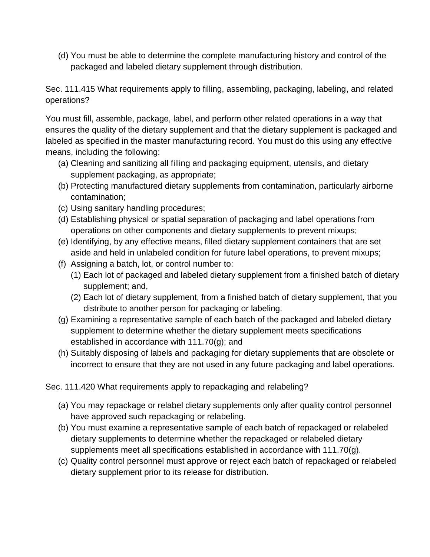(d) You must be able to determine the complete manufacturing history and control of the packaged and labeled dietary supplement through distribution.

Sec. 111.415 What requirements apply to filling, assembling, packaging, labeling, and related operations?

You must fill, assemble, package, label, and perform other related operations in a way that ensures the quality of the dietary supplement and that the dietary supplement is packaged and labeled as specified in the master manufacturing record. You must do this using any effective means, including the following:

- (a) Cleaning and sanitizing all filling and packaging equipment, utensils, and dietary supplement packaging, as appropriate;
- (b) Protecting manufactured dietary supplements from contamination, particularly airborne contamination;
- (c) Using sanitary handling procedures;
- (d) Establishing physical or spatial separation of packaging and label operations from operations on other components and dietary supplements to prevent mixups;
- (e) Identifying, by any effective means, filled dietary supplement containers that are set aside and held in unlabeled condition for future label operations, to prevent mixups;
- (f) Assigning a batch, lot, or control number to:
	- (1) Each lot of packaged and labeled dietary supplement from a finished batch of dietary supplement; and,
	- (2) Each lot of dietary supplement, from a finished batch of dietary supplement, that you distribute to another person for packaging or labeling.
- (g) Examining a representative sample of each batch of the packaged and labeled dietary supplement to determine whether the dietary supplement meets specifications established in accordance with 111.70(g); and
- (h) Suitably disposing of labels and packaging for dietary supplements that are obsolete or incorrect to ensure that they are not used in any future packaging and label operations.

Sec. 111.420 What requirements apply to repackaging and relabeling?

- (a) You may repackage or relabel dietary supplements only after quality control personnel have approved such repackaging or relabeling.
- (b) You must examine a representative sample of each batch of repackaged or relabeled dietary supplements to determine whether the repackaged or relabeled dietary supplements meet all specifications established in accordance with 111.70(g).
- (c) Quality control personnel must approve or reject each batch of repackaged or relabeled dietary supplement prior to its release for distribution.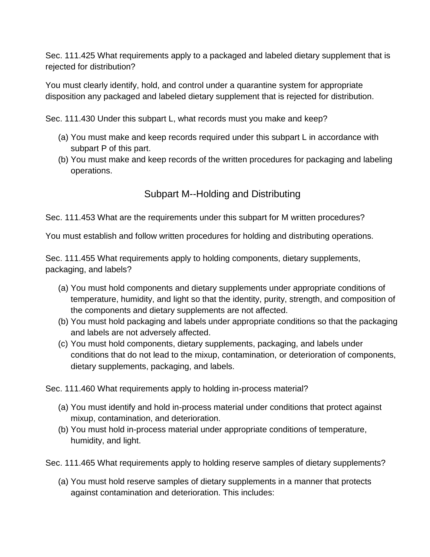Sec. 111.425 What requirements apply to a packaged and labeled dietary supplement that is rejected for distribution?

You must clearly identify, hold, and control under a quarantine system for appropriate disposition any packaged and labeled dietary supplement that is rejected for distribution.

Sec. 111.430 Under this subpart L, what records must you make and keep?

- (a) You must make and keep records required under this subpart L in accordance with subpart P of this part.
- (b) You must make and keep records of the written procedures for packaging and labeling operations.

Subpart M--Holding and Distributing

#### Sec. 111.453 What are the requirements under this subpart for M written procedures?

You must establish and follow written procedures for holding and distributing operations.

Sec. 111.455 What requirements apply to holding components, dietary supplements, packaging, and labels?

- (a) You must hold components and dietary supplements under appropriate conditions of temperature, humidity, and light so that the identity, purity, strength, and composition of the components and dietary supplements are not affected.
- (b) You must hold packaging and labels under appropriate conditions so that the packaging and labels are not adversely affected.
- (c) You must hold components, dietary supplements, packaging, and labels under conditions that do not lead to the mixup, contamination, or deterioration of components, dietary supplements, packaging, and labels.

Sec. 111.460 What requirements apply to holding in-process material?

- (a) You must identify and hold in-process material under conditions that protect against mixup, contamination, and deterioration.
- (b) You must hold in-process material under appropriate conditions of temperature, humidity, and light.

Sec. 111.465 What requirements apply to holding reserve samples of dietary supplements?

(a) You must hold reserve samples of dietary supplements in a manner that protects against contamination and deterioration. This includes: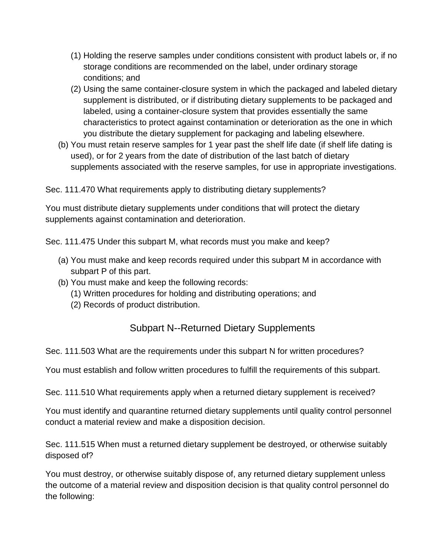- (1) Holding the reserve samples under conditions consistent with product labels or, if no storage conditions are recommended on the label, under ordinary storage conditions; and
- (2) Using the same container-closure system in which the packaged and labeled dietary supplement is distributed, or if distributing dietary supplements to be packaged and labeled, using a container-closure system that provides essentially the same characteristics to protect against contamination or deterioration as the one in which you distribute the dietary supplement for packaging and labeling elsewhere.
- (b) You must retain reserve samples for 1 year past the shelf life date (if shelf life dating is used), or for 2 years from the date of distribution of the last batch of dietary supplements associated with the reserve samples, for use in appropriate investigations.

Sec. 111.470 What requirements apply to distributing dietary supplements?

You must distribute dietary supplements under conditions that will protect the dietary supplements against contamination and deterioration.

Sec. 111.475 Under this subpart M, what records must you make and keep?

- (a) You must make and keep records required under this subpart M in accordance with subpart P of this part.
- (b) You must make and keep the following records:
	- (1) Written procedures for holding and distributing operations; and
	- (2) Records of product distribution.

Subpart N--Returned Dietary Supplements

Sec. 111.503 What are the requirements under this subpart N for written procedures?

You must establish and follow written procedures to fulfill the requirements of this subpart.

Sec. 111.510 What requirements apply when a returned dietary supplement is received?

You must identify and quarantine returned dietary supplements until quality control personnel conduct a material review and make a disposition decision.

Sec. 111.515 When must a returned dietary supplement be destroyed, or otherwise suitably disposed of?

You must destroy, or otherwise suitably dispose of, any returned dietary supplement unless the outcome of a material review and disposition decision is that quality control personnel do the following: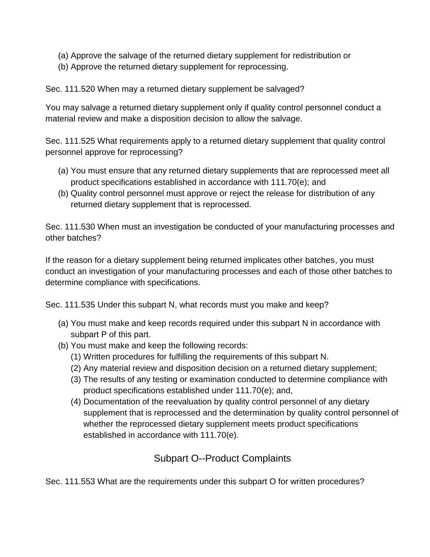- (a) Approve the salvage of the returned dietary supplement for redistribution or
- (b) Approve the returned dietary supplement for reprocessing.

Sec. 111.520 When may a returned dietary supplement be salvaged?

You may salvage a returned dietary supplement only if quality control personnel conduct a material review and make a disposition decision to allow the salvage.

Sec. 111.525 What requirements apply to a returned dietary supplement that quality control personnel approve for reprocessing?

- (a) You must ensure that any returned dietary supplements that are reprocessed meet all product specifications established in accordance with 111.70(e); and
- (b) Quality control personnel must approve or reject the release for distribution of any returned dietary supplement that is reprocessed.

Sec. 111.530 When must an investigation be conducted of your manufacturing processes and other batches?

If the reason for a dietary supplement being returned implicates other batches, you must conduct an investigation of your manufacturing processes and each of those other batches to determine compliance with specifications.

Sec. 111.535 Under this subpart N, what records must you make and keep?

- (a) You must make and keep records required under this subpart N in accordance with subpart P of this part.
- (b) You must make and keep the following records:
	- (1) Written procedures for fulfilling the requirements of this subpart N.
	- (2) Any material review and disposition decision on a returned dietary supplement;
	- (3) The results of any testing or examination conducted to determine compliance with product specifications established under 111.70(e); and,
	- (4) Documentation of the reevaluation by quality control personnel of any dietary supplement that is reprocessed and the determination by quality control personnel of whether the reprocessed dietary supplement meets product specifications established in accordance with 111.70(e).

# Subpart O--Product Complaints

Sec. 111.553 What are the requirements under this subpart O for written procedures?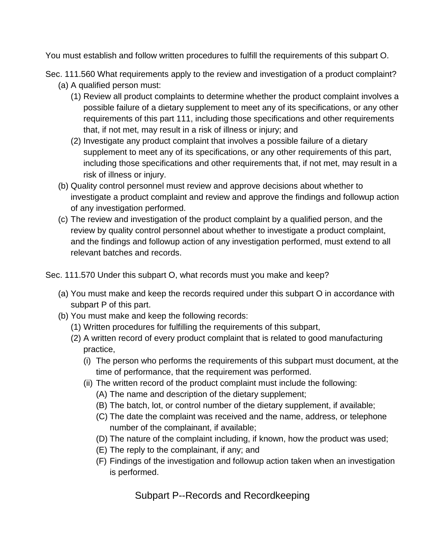You must establish and follow written procedures to fulfill the requirements of this subpart O.

Sec. 111.560 What requirements apply to the review and investigation of a product complaint?

- (a) A qualified person must:
	- (1) Review all product complaints to determine whether the product complaint involves a possible failure of a dietary supplement to meet any of its specifications, or any other requirements of this part 111, including those specifications and other requirements that, if not met, may result in a risk of illness or injury; and
	- (2) Investigate any product complaint that involves a possible failure of a dietary supplement to meet any of its specifications, or any other requirements of this part, including those specifications and other requirements that, if not met, may result in a risk of illness or injury.
- (b) Quality control personnel must review and approve decisions about whether to investigate a product complaint and review and approve the findings and followup action of any investigation performed.
- (c) The review and investigation of the product complaint by a qualified person, and the review by quality control personnel about whether to investigate a product complaint, and the findings and followup action of any investigation performed, must extend to all relevant batches and records.

Sec. 111.570 Under this subpart O, what records must you make and keep?

- (a) You must make and keep the records required under this subpart O in accordance with subpart P of this part.
- (b) You must make and keep the following records:
	- (1) Written procedures for fulfilling the requirements of this subpart,
	- (2) A written record of every product complaint that is related to good manufacturing practice,
		- (i) The person who performs the requirements of this subpart must document, at the time of performance, that the requirement was performed.
		- (ii) The written record of the product complaint must include the following:
			- (A) The name and description of the dietary supplement;
			- (B) The batch, lot, or control number of the dietary supplement, if available;
			- (C) The date the complaint was received and the name, address, or telephone number of the complainant, if available;
			- (D) The nature of the complaint including, if known, how the product was used;
			- (E) The reply to the complainant, if any; and
			- (F) Findings of the investigation and followup action taken when an investigation is performed.

Subpart P--Records and Recordkeeping